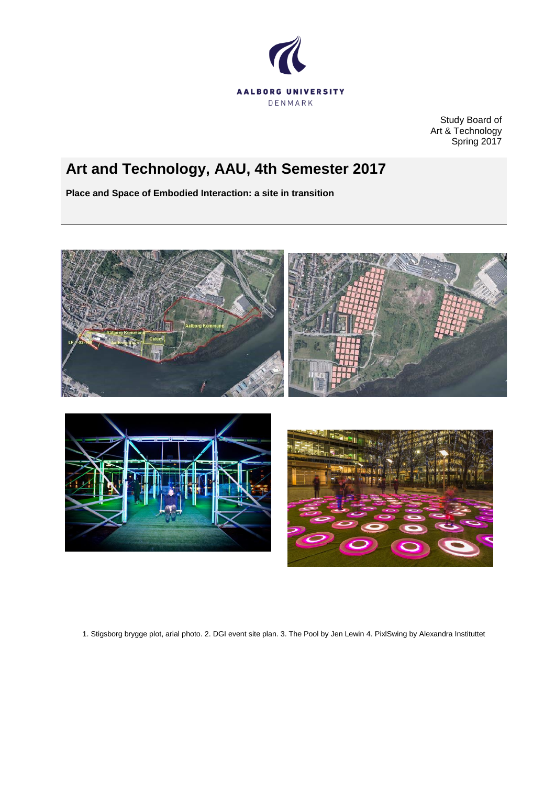

Study Board of Art & Technology Spring 2017

# **Art and Technology, AAU, 4th Semester 2017**

**Place and Space of Embodied Interaction: a site in transition**







1. Stigsborg brygge plot, arial photo. 2. DGI event site plan. 3. The Pool by Jen Lewin 4. PixlSwing by Alexandra Instituttet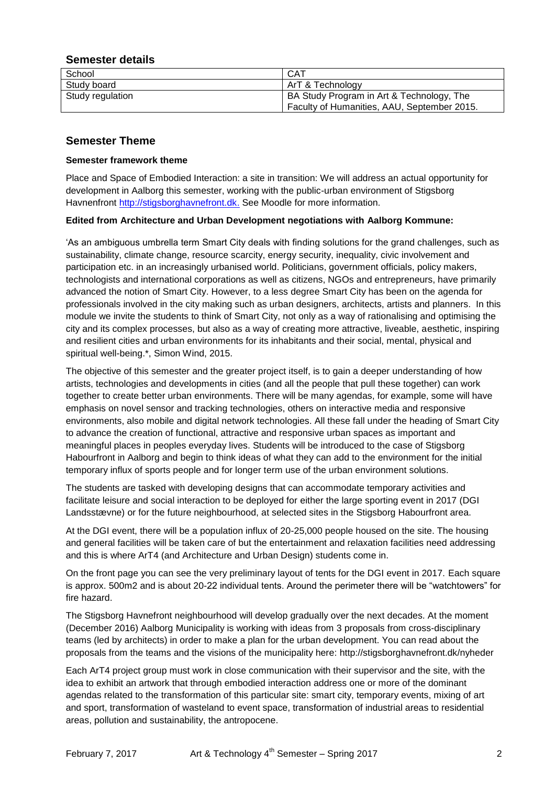## **Semester details**

| School           | CAT                                         |
|------------------|---------------------------------------------|
| Study board      | ArT & Technology                            |
| Study regulation | BA Study Program in Art & Technology, The   |
|                  | Faculty of Humanities, AAU, September 2015. |

# **Semester Theme**

## **Semester framework theme**

Place and Space of Embodied Interaction: a site in transition: We will address an actual opportunity for development in Aalborg this semester, working with the public-urban environment of Stigsborg Havnenfront [http://stigsborghavnefront.dk.](http://stigsborghavnefront.dk/) See Moodle for more information.

## **Edited from Architecture and Urban Development negotiations with Aalborg Kommune:**

'As an ambiguous umbrella term Smart City deals with finding solutions for the grand challenges, such as sustainability, climate change, resource scarcity, energy security, inequality, civic involvement and participation etc. in an increasingly urbanised world. Politicians, government officials, policy makers, technologists and international corporations as well as citizens, NGOs and entrepreneurs, have primarily advanced the notion of Smart City. However, to a less degree Smart City has been on the agenda for professionals involved in the city making such as urban designers, architects, artists and planners. In this module we invite the students to think of Smart City, not only as a way of rationalising and optimising the city and its complex processes, but also as a way of creating more attractive, liveable, aesthetic, inspiring and resilient cities and urban environments for its inhabitants and their social, mental, physical and spiritual well-being.\*, Simon Wind, 2015.

The objective of this semester and the greater project itself, is to gain a deeper understanding of how artists, technologies and developments in cities (and all the people that pull these together) can work together to create better urban environments. There will be many agendas, for example, some will have emphasis on novel sensor and tracking technologies, others on interactive media and responsive environments, also mobile and digital network technologies. All these fall under the heading of Smart City to advance the creation of functional, attractive and responsive urban spaces as important and meaningful places in peoples everyday lives. Students will be introduced to the case of Stigsborg Habourfront in Aalborg and begin to think ideas of what they can add to the environment for the initial temporary influx of sports people and for longer term use of the urban environment solutions.

The students are tasked with developing designs that can accommodate temporary activities and facilitate leisure and social interaction to be deployed for either the large sporting event in 2017 (DGI Landsstævne) or for the future neighbourhood, at selected sites in the Stigsborg Habourfront area.

At the DGI event, there will be a population influx of 20-25,000 people housed on the site. The housing and general facilities will be taken care of but the entertainment and relaxation facilities need addressing and this is where ArT4 (and Architecture and Urban Design) students come in.

On the front page you can see the very preliminary layout of tents for the DGI event in 2017. Each square is approx. 500m2 and is about 20-22 individual tents. Around the perimeter there will be "watchtowers" for fire hazard.

The Stigsborg Havnefront neighbourhood will develop gradually over the next decades. At the moment (December 2016) Aalborg Municipality is working with ideas from 3 proposals from cross-disciplinary teams (led by architects) in order to make a plan for the urban development. You can read about the proposals from the teams and the visions of the municipality here: http://stigsborghavnefront.dk/nyheder

Each ArT4 project group must work in close communication with their supervisor and the site, with the idea to exhibit an artwork that through embodied interaction address one or more of the dominant agendas related to the transformation of this particular site: smart city, temporary events, mixing of art and sport, transformation of wasteland to event space, transformation of industrial areas to residential areas, pollution and sustainability, the antropocene.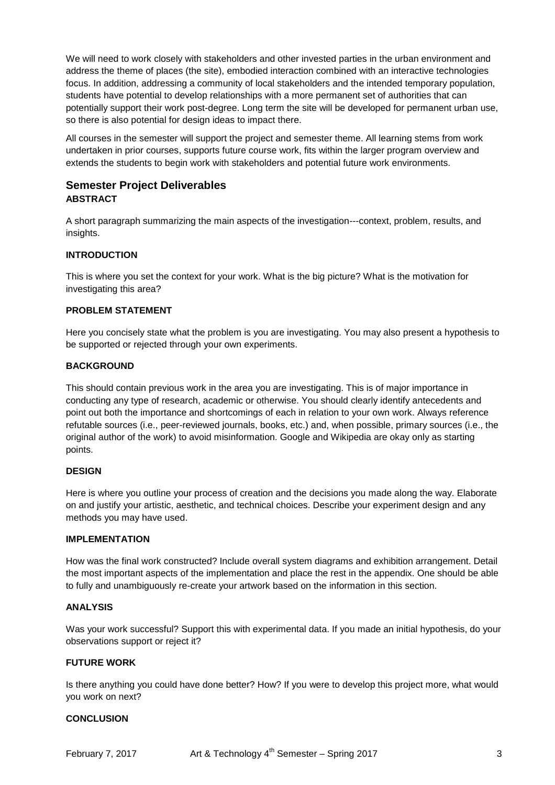We will need to work closely with stakeholders and other invested parties in the urban environment and address the theme of places (the site), embodied interaction combined with an interactive technologies focus. In addition, addressing a community of local stakeholders and the intended temporary population, students have potential to develop relationships with a more permanent set of authorities that can potentially support their work post-degree. Long term the site will be developed for permanent urban use, so there is also potential for design ideas to impact there.

All courses in the semester will support the project and semester theme. All learning stems from work undertaken in prior courses, supports future course work, fits within the larger program overview and extends the students to begin work with stakeholders and potential future work environments.

# **Semester Project Deliverables ABSTRACT**

A short paragraph summarizing the main aspects of the investigation---context, problem, results, and insights.

## **INTRODUCTION**

This is where you set the context for your work. What is the big picture? What is the motivation for investigating this area?

#### **PROBLEM STATEMENT**

Here you concisely state what the problem is you are investigating. You may also present a hypothesis to be supported or rejected through your own experiments.

#### **BACKGROUND**

This should contain previous work in the area you are investigating. This is of major importance in conducting any type of research, academic or otherwise. You should clearly identify antecedents and point out both the importance and shortcomings of each in relation to your own work. Always reference refutable sources (i.e., peer-reviewed journals, books, etc.) and, when possible, primary sources (i.e., the original author of the work) to avoid misinformation. Google and Wikipedia are okay only as starting points.

#### **DESIGN**

Here is where you outline your process of creation and the decisions you made along the way. Elaborate on and justify your artistic, aesthetic, and technical choices. Describe your experiment design and any methods you may have used.

#### **IMPLEMENTATION**

How was the final work constructed? Include overall system diagrams and exhibition arrangement. Detail the most important aspects of the implementation and place the rest in the appendix. One should be able to fully and unambiguously re-create your artwork based on the information in this section.

#### **ANALYSIS**

Was your work successful? Support this with experimental data. If you made an initial hypothesis, do your observations support or reject it?

## **FUTURE WORK**

Is there anything you could have done better? How? If you were to develop this project more, what would you work on next?

#### **CONCLUSION**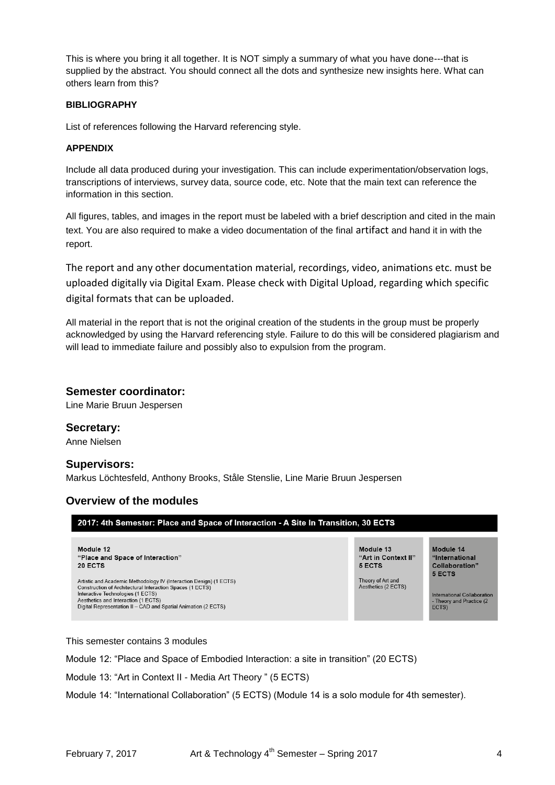This is where you bring it all together. It is NOT simply a summary of what you have done---that is supplied by the abstract. You should connect all the dots and synthesize new insights here. What can others learn from this?

## **BIBLIOGRAPHY**

List of references following the Harvard referencing style.

## **APPENDIX**

Include all data produced during your investigation. This can include experimentation/observation logs, transcriptions of interviews, survey data, source code, etc. Note that the main text can reference the information in this section.

All figures, tables, and images in the report must be labeled with a brief description and cited in the main text. You are also required to make a video documentation of the final artifact and hand it in with the report.

The report and any other documentation material, recordings, video, animations etc. must be uploaded digitally via Digital Exam. Please check with Digital Upload, regarding which specific digital formats that can be uploaded.

All material in the report that is not the original creation of the students in the group must be properly acknowledged by using the Harvard referencing style. Failure to do this will be considered plagiarism and will lead to immediate failure and possibly also to expulsion from the program.

## **Semester coordinator:**

Line Marie Bruun Jespersen

# **Secretary:**

Anne Nielsen

## **Supervisors:**

Markus Löchtesfeld, Anthony Brooks, Ståle Stenslie, Line Marie Bruun Jespersen

# **Overview of the modules**

| 2017: 4th Semester: Place and Space of Interaction - A Site In Transition, 30 ECTS                                                                                                                                                                                            |                                            |                                                                   |  |
|-------------------------------------------------------------------------------------------------------------------------------------------------------------------------------------------------------------------------------------------------------------------------------|--------------------------------------------|-------------------------------------------------------------------|--|
| Module 12<br>"Place and Space of Interaction"<br>20 ECTS                                                                                                                                                                                                                      | Module 13<br>"Art in Context II"<br>5 ECTS | Module 14<br>"International<br>Collaboration"<br>5 ECTS           |  |
| Artistic and Academic Methodology IV (Interaction Design) (1 ECTS)<br>Construction of Architectural Interaction Spaces (1 ECTS)<br>Interactive Technologies (1 ECTS)<br>Aesthetics and Interaction (1 ECTS)<br>Digital Representation II - CAD and Spatial Animation (2 ECTS) | Theory of Art and<br>Aesthetics (2 ECTS)   | International Collaboration<br>- Theory and Practice (2)<br>ECTS) |  |

This semester contains 3 modules

Module 12: "Place and Space of Embodied Interaction: a site in transition" (20 ECTS)

Module 13: "Art in Context II - Media Art Theory " (5 ECTS)

Module 14: "International Collaboration" (5 ECTS) (Module 14 is a solo module for 4th semester).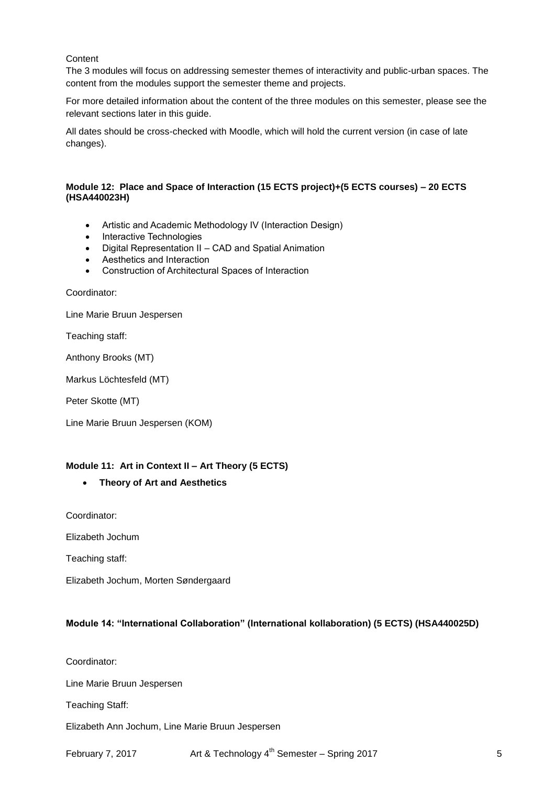#### Content

The 3 modules will focus on addressing semester themes of interactivity and public-urban spaces. The content from the modules support the semester theme and projects.

For more detailed information about the content of the three modules on this semester, please see the relevant sections later in this guide.

All dates should be cross-checked with Moodle, which will hold the current version (in case of late changes).

#### **Module 12: Place and Space of Interaction (15 ECTS project)+(5 ECTS courses) – 20 ECTS (HSA440023H)**

- Artistic and Academic Methodology IV (Interaction Design)
- Interactive Technologies
- Digital Representation II CAD and Spatial Animation
- Aesthetics and Interaction
- Construction of Architectural Spaces of Interaction

Coordinator:

Line Marie Bruun Jespersen

Teaching staff:

Anthony Brooks (MT)

Markus Löchtesfeld (MT)

Peter Skotte (MT)

Line Marie Bruun Jespersen (KOM)

#### **Module 11: Art in Context II – Art Theory (5 ECTS)**

#### **Theory of Art and Aesthetics**

Coordinator:

Elizabeth Jochum

Teaching staff:

Elizabeth Jochum, Morten Søndergaard

#### **Module 14: "International Collaboration" (International kollaboration) (5 ECTS) (HSA440025D)**

Coordinator:

Line Marie Bruun Jespersen

Teaching Staff:

Elizabeth Ann Jochum, Line Marie Bruun Jespersen

February 7, 2017 **Art & Technology 4<sup>th</sup> Semester – Spring 2017** 5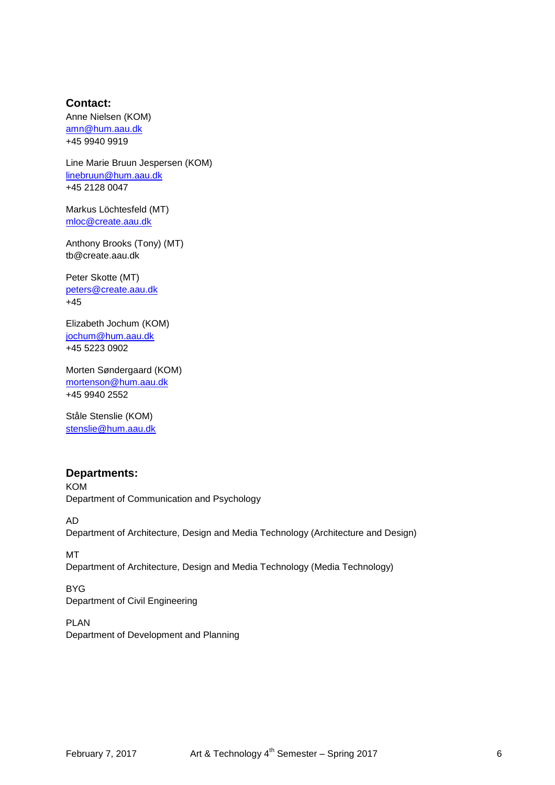## **Contact:**

Anne Nielsen (KOM) [amn@hum.aau.dk](mailto:amn@hum.aau.dk) +45 9940 9919

Line Marie Bruun Jespersen (KOM) [linebruun@hum.aau.dk](mailto:linebruun@hum.aau.dk) +45 2128 0047

Markus Löchtesfeld (MT) [mloc@create.aau.dk](mailto:mloc@create.aau.dk)

Anthony Brooks (Tony) (MT) tb@create.aau.dk

Peter Skotte (MT) [peters@create.aau.dk](mailto:peters@create.aau.dk) +45

Elizabeth Jochum (KOM) [jochum@hum.aau.dk](mailto:jochum@hum.aau.dk) +45 5223 0902

Morten Søndergaard (KOM) [mortenson@hum.aau.dk](mailto:mortenson@hum.aau.dk) +45 9940 2552

Ståle Stenslie (KOM) [stenslie@hum.aau.dk](mailto:stenslie@hum.aau.dk)

## **Departments:**

KOM Department of Communication and Psychology

AD Department of Architecture, Design and Media Technology (Architecture and Design)

MT Department of Architecture, Design and Media Technology (Media Technology)

BYG Department of Civil Engineering

PLAN Department of Development and Planning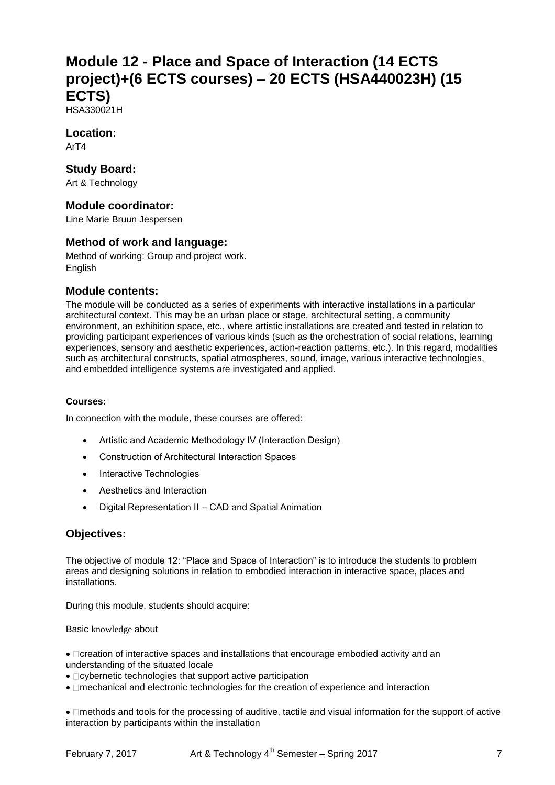# **Module 12 - Place and Space of Interaction (14 ECTS project)+(6 ECTS courses) – 20 ECTS (HSA440023H) (15 ECTS)**

HSA330021H

## **Location:**

ArT4

## **Study Board:**

Art & Technology

## **Module coordinator:**

Line Marie Bruun Jespersen

## **Method of work and language:**

Method of working: Group and project work. English

## **Module contents:**

The module will be conducted as a series of experiments with interactive installations in a particular architectural context. This may be an urban place or stage, architectural setting, a community environment, an exhibition space, etc., where artistic installations are created and tested in relation to providing participant experiences of various kinds (such as the orchestration of social relations, learning experiences, sensory and aesthetic experiences, action-reaction patterns, etc.). In this regard, modalities such as architectural constructs, spatial atmospheres, sound, image, various interactive technologies, and embedded intelligence systems are investigated and applied.

#### **Courses:**

In connection with the module, these courses are offered:

- Artistic and Academic Methodology IV (Interaction Design)
- Construction of Architectural Interaction Spaces
- Interactive Technologies
- Aesthetics and Interaction
- Digital Representation II CAD and Spatial Animation

## **Objectives:**

The objective of module 12: "Place and Space of Interaction" is to introduce the students to problem areas and designing solutions in relation to embodied interaction in interactive space, places and installations.

During this module, students should acquire:

Basic knowledge about

• Decreation of interactive spaces and installations that encourage embodied activity and an understanding of the situated locale

- $\bullet$   $\Box$  cybernetic technologies that support active participation
- **Imechanical and electronic technologies for the creation of experience and interaction**

•  $\Box$ methods and tools for the processing of auditive, tactile and visual information for the support of active interaction by participants within the installation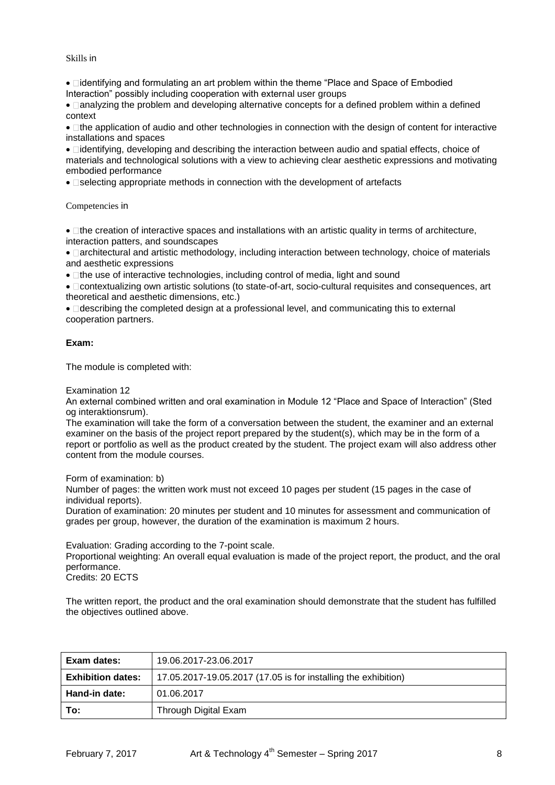#### Skills in

• Didentifying and formulating an art problem within the theme "Place and Space of Embodied" Interaction" possibly including cooperation with external user groups

•  $\Box$ analyzing the problem and developing alternative concepts for a defined problem within a defined context

• Ithe application of audio and other technologies in connection with the design of content for interactive installations and spaces

•  $\Box$ identifying, developing and describing the interaction between audio and spatial effects, choice of materials and technological solutions with a view to achieving clear aesthetic expressions and motivating embodied performance

• **Selecting appropriate methods in connection with the development of artefacts** 

Competencies in

 $\bullet$   $\Box$  the creation of interactive spaces and installations with an artistic quality in terms of architecture, interaction patters, and soundscapes

• **Darchitectural and artistic methodology, including interaction between technology, choice of materials** and aesthetic expressions

 $\bullet$   $\Box$  the use of interactive technologies, including control of media, light and sound

 contextualizing own artistic solutions (to state-of-art, socio-cultural requisites and consequences, art theoretical and aesthetic dimensions, etc.)

 describing the completed design at a professional level, and communicating this to external cooperation partners.

#### **Exam:**

The module is completed with:

Examination 12

An external combined written and oral examination in Module 12 "Place and Space of Interaction" (Sted og interaktionsrum).

The examination will take the form of a conversation between the student, the examiner and an external examiner on the basis of the project report prepared by the student(s), which may be in the form of a report or portfolio as well as the product created by the student. The project exam will also address other content from the module courses.

Form of examination: b)

Number of pages: the written work must not exceed 10 pages per student (15 pages in the case of individual reports).

Duration of examination: 20 minutes per student and 10 minutes for assessment and communication of grades per group, however, the duration of the examination is maximum 2 hours.

Evaluation: Grading according to the 7-point scale.

Proportional weighting: An overall equal evaluation is made of the project report, the product, and the oral performance.

Credits: 20 ECTS

The written report, the product and the oral examination should demonstrate that the student has fulfilled the objectives outlined above.

| Exam dates:              | 19.06.2017-23.06.2017                                          |
|--------------------------|----------------------------------------------------------------|
| <b>Exhibition dates:</b> | 17.05.2017-19.05.2017 (17.05 is for installing the exhibition) |
| Hand-in date:            | 01.06.2017                                                     |
| To:                      | Through Digital Exam                                           |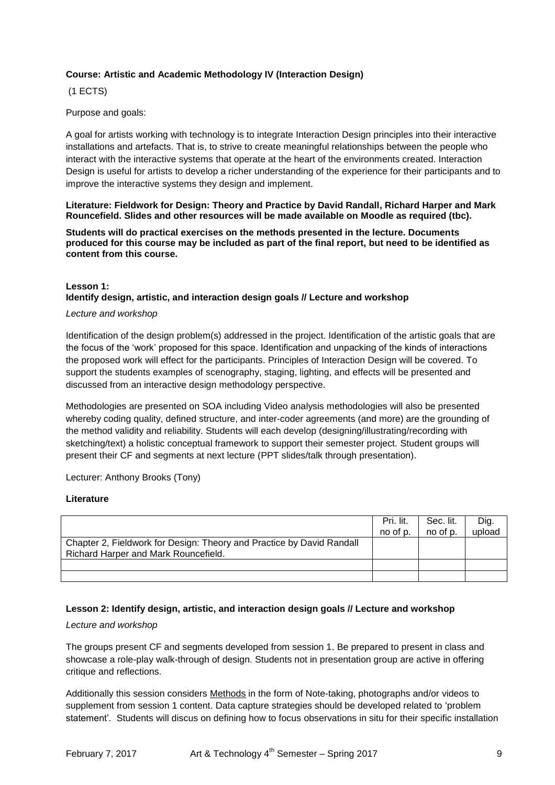## **Course: Artistic and Academic Methodology IV (Interaction Design)**

(1 ECTS)

Purpose and goals:

A goal for artists working with technology is to integrate Interaction Design principles into their interactive installations and artefacts. That is, to strive to create meaningful relationships between the people who interact with the interactive systems that operate at the heart of the environments created. Interaction Design is useful for artists to develop a richer understanding of the experience for their participants and to improve the interactive systems they design and implement.

**Literature: Fieldwork for Design: Theory and Practice by David Randall, Richard Harper and Mark Rouncefield. Slides and other resources will be made available on Moodle as required (tbc).**

**Students will do practical exercises on the methods presented in the lecture. Documents produced for this course may be included as part of the final report, but need to be identified as content from this course.**

## **Lesson 1: Identify design, artistic, and interaction design goals // Lecture and workshop**

#### *Lecture and workshop*

Identification of the design problem(s) addressed in the project. Identification of the artistic goals that are the focus of the 'work' proposed for this space. Identification and unpacking of the kinds of interactions the proposed work will effect for the participants. Principles of Interaction Design will be covered. To support the students examples of scenography, staging, lighting, and effects will be presented and discussed from an interactive design methodology perspective.

Methodologies are presented on SOA including Video analysis methodologies will also be presented whereby coding quality, defined structure, and inter-coder agreements (and more) are the grounding of the method validity and reliability. Students will each develop (designing/illustrating/recording with sketching/text) a holistic conceptual framework to support their semester project. Student groups will present their CF and segments at next lecture (PPT slides/talk through presentation).

Lecturer: Anthony Brooks (Tony)

#### **Literature**

|                                                                       | Pri. lit. | Sec. lit. | Dig.   |
|-----------------------------------------------------------------------|-----------|-----------|--------|
|                                                                       | no of p.  | no of p.  | upload |
| Chapter 2, Fieldwork for Design: Theory and Practice by David Randall |           |           |        |
| Richard Harper and Mark Rouncefield.                                  |           |           |        |
|                                                                       |           |           |        |
|                                                                       |           |           |        |

#### **Lesson 2: Identify design, artistic, and interaction design goals // Lecture and workshop**

#### *Lecture and workshop*

The groups present CF and segments developed from session 1. Be prepared to present in class and showcase a role-play walk-through of design. Students not in presentation group are active in offering critique and reflections.

Additionally this session considers Methods in the form of Note-taking, photographs and/or videos to supplement from session 1 content. Data capture strategies should be developed related to 'problem statement'. Students will discus on defining how to focus observations in situ for their specific installation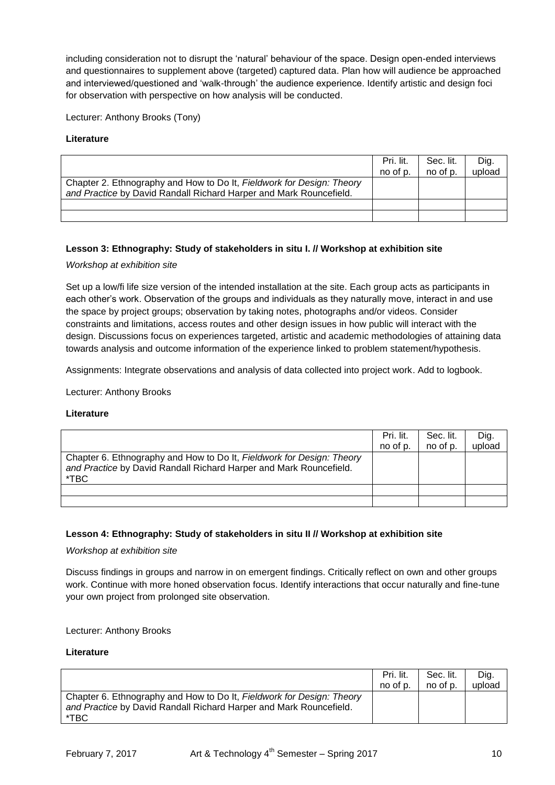including consideration not to disrupt the 'natural' behaviour of the space. Design open-ended interviews and questionnaires to supplement above (targeted) captured data. Plan how will audience be approached and interviewed/questioned and 'walk-through' the audience experience. Identify artistic and design foci for observation with perspective on how analysis will be conducted.

Lecturer: Anthony Brooks (Tony)

#### **Literature**

|                                                                       | Pri. lit. | Sec. lit. | Dig.   |
|-----------------------------------------------------------------------|-----------|-----------|--------|
|                                                                       | no of p.  | no of p.  | upload |
| Chapter 2. Ethnography and How to Do It, Fieldwork for Design: Theory |           |           |        |
| and Practice by David Randall Richard Harper and Mark Rouncefield.    |           |           |        |
|                                                                       |           |           |        |
|                                                                       |           |           |        |

#### **Lesson 3: Ethnography: Study of stakeholders in situ I. // Workshop at exhibition site**

#### *Workshop at exhibition site*

Set up a low/fi life size version of the intended installation at the site. Each group acts as participants in each other's work. Observation of the groups and individuals as they naturally move, interact in and use the space by project groups; observation by taking notes, photographs and/or videos. Consider constraints and limitations, access routes and other design issues in how public will interact with the design. Discussions focus on experiences targeted, artistic and academic methodologies of attaining data towards analysis and outcome information of the experience linked to problem statement/hypothesis.

Assignments: Integrate observations and analysis of data collected into project work. Add to logbook.

Lecturer: Anthony Brooks

#### **Literature**

|                                                                                                                                                     | Pri. lit.<br>no of p. | Sec. lit.<br>no of p. | Dig.<br>upload |
|-----------------------------------------------------------------------------------------------------------------------------------------------------|-----------------------|-----------------------|----------------|
| Chapter 6. Ethnography and How to Do It, Fieldwork for Design: Theory<br>and Practice by David Randall Richard Harper and Mark Rouncefield.<br>*TBC |                       |                       |                |
|                                                                                                                                                     |                       |                       |                |
|                                                                                                                                                     |                       |                       |                |

#### **Lesson 4: Ethnography: Study of stakeholders in situ II // Workshop at exhibition site**

*Workshop at exhibition site*

Discuss findings in groups and narrow in on emergent findings. Critically reflect on own and other groups work. Continue with more honed observation focus. Identify interactions that occur naturally and fine-tune your own project from prolonged site observation.

Lecturer: Anthony Brooks

|                                                                                                                                                     | Pri. lit. | Sec. lit. | Dig.   |
|-----------------------------------------------------------------------------------------------------------------------------------------------------|-----------|-----------|--------|
|                                                                                                                                                     | no of p.  | no of p.  | upload |
| Chapter 6. Ethnography and How to Do It, Fieldwork for Design: Theory<br>and Practice by David Randall Richard Harper and Mark Rouncefield.<br>*TBC |           |           |        |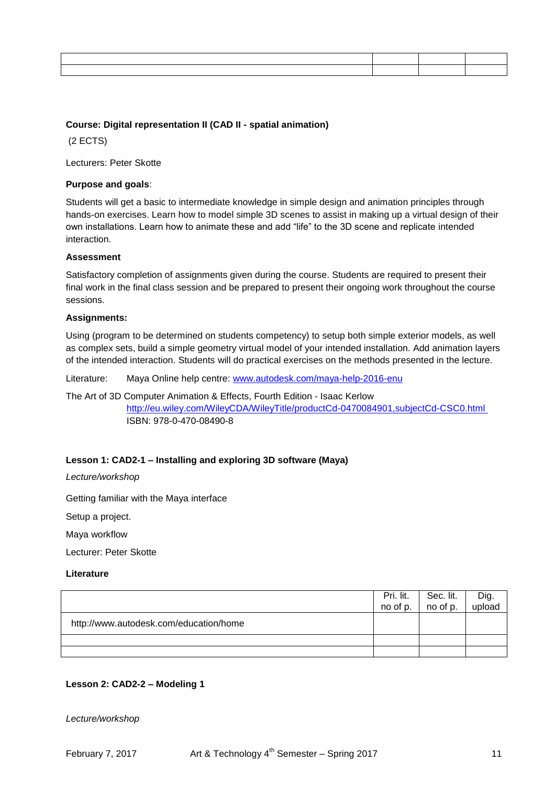## **Course: Digital representation II (CAD II - spatial animation)**

(2 ECTS)

Lecturers: Peter Skotte

#### **Purpose and goals**:

Students will get a basic to intermediate knowledge in simple design and animation principles through hands-on exercises. Learn how to model simple 3D scenes to assist in making up a virtual design of their own installations. Learn how to animate these and add "life" to the 3D scene and replicate intended interaction.

#### **Assessment**

Satisfactory completion of assignments given during the course. Students are required to present their final work in the final class session and be prepared to present their ongoing work throughout the course sessions.

#### **Assignments:**

Using (program to be determined on students competency) to setup both simple exterior models, as well as complex sets, build a simple geometry virtual model of your intended installation. Add animation layers of the intended interaction. Students will do practical exercises on the methods presented in the lecture.

Literature: Maya Online help centre: [www.autodesk.com/maya-help-2016-enu](http://www.autodesk.com/maya-help-2016-enu)

The Art of 3D Computer Animation & Effects, Fourth Edition - Isaac Kerlow <http://eu.wiley.com/WileyCDA/WileyTitle/productCd-0470084901,subjectCd-CSC0.html>

ISBN: 978-0-470-08490-8

#### **Lesson 1: CAD2-1 – Installing and exploring 3D software (Maya)**

*Lecture/workshop*

Getting familiar with the Maya interface

Setup a project.

Maya workflow

Lecturer: Peter Skotte

#### **Literature**

|                                        | Pri. lit.<br>no of p. | Sec. lit.<br>$\overline{1}$ no of p. | Dig.<br>upload |
|----------------------------------------|-----------------------|--------------------------------------|----------------|
| http://www.autodesk.com/education/home |                       |                                      |                |
|                                        |                       |                                      |                |
|                                        |                       |                                      |                |

#### **Lesson 2: CAD2-2 – Modeling 1**

*Lecture/workshop*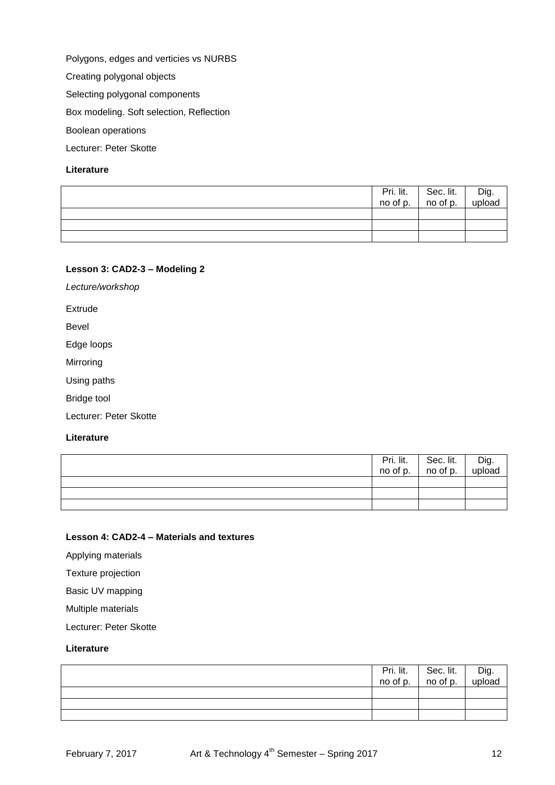Polygons, edges and verticies vs NURBS

Creating polygonal objects

Selecting polygonal components

Box modeling. Soft selection, Reflection

Boolean operations

Lecturer: Peter Skotte

## **Literature**

|  | $\overline{Pri.}$ lit. Sec. lit.<br>no of p. no of p. | Dig.<br>upload |
|--|-------------------------------------------------------|----------------|
|  |                                                       |                |
|  |                                                       |                |
|  |                                                       |                |

#### **Lesson 3: CAD2-3 – Modeling 2**

*Lecture/workshop*

Extrude

Bevel

Edge loops

Mirroring

Using paths

Bridge tool

Lecturer: Peter Skotte

#### **Literature**

| $\overline{Pri.}$ lit.<br>no of p. | $\overline{\text{Sec.}}$ lit. | Dig.<br>upload |
|------------------------------------|-------------------------------|----------------|
|                                    |                               |                |
|                                    |                               |                |
|                                    |                               |                |

## **Lesson 4: CAD2-4 – Materials and textures**

Applying materials

Texture projection

Basic UV mapping

Multiple materials

Lecturer: Peter Skotte

|  | $\overline{Pri.}$ lit. Sec. lit. $\overline{Pri.}$ Sec. lit. | Dig.<br>upload |
|--|--------------------------------------------------------------|----------------|
|  |                                                              |                |
|  |                                                              |                |
|  |                                                              |                |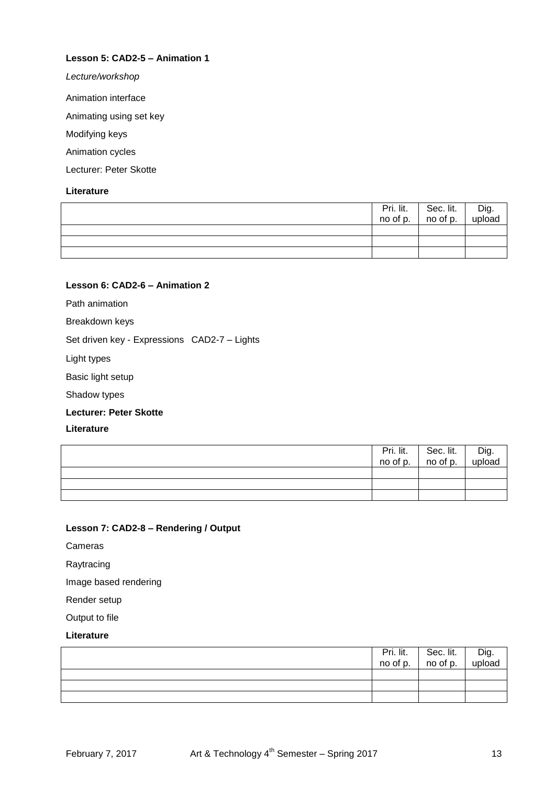## **Lesson 5: CAD2-5 – Animation 1**

*Lecture/workshop*

Animation interface

Animating using set key

Modifying keys

Animation cycles

Lecturer: Peter Skotte

#### **Literature**

| Pri. lit.<br>no of p. | Sec. lit.<br>no of p. | │ Dig.<br>upload |
|-----------------------|-----------------------|------------------|
|                       |                       |                  |
|                       |                       |                  |
|                       |                       |                  |

## **Lesson 6: CAD2-6 – Animation 2**

Path animation

Breakdown keys

Set driven key - Expressions CAD2-7 – Lights

Light types

Basic light setup

Shadow types

#### **Lecturer: Peter Skotte**

**Literature**

|  | $\overline{Pri.}$ lit. Sec. lit. $\overline{Pri.}$ Sec. lit. | Dig.<br>upload |
|--|--------------------------------------------------------------|----------------|
|  |                                                              |                |
|  |                                                              |                |
|  |                                                              |                |

## **Lesson 7: CAD2-8 – Rendering / Output**

Cameras

Raytracing

Image based rendering

Render setup

Output to file

| Pri. lit. | Sec. lit.<br>no of p. | Dig.<br>upload |
|-----------|-----------------------|----------------|
| no of p.  |                       |                |
|           |                       |                |
|           |                       |                |
|           |                       |                |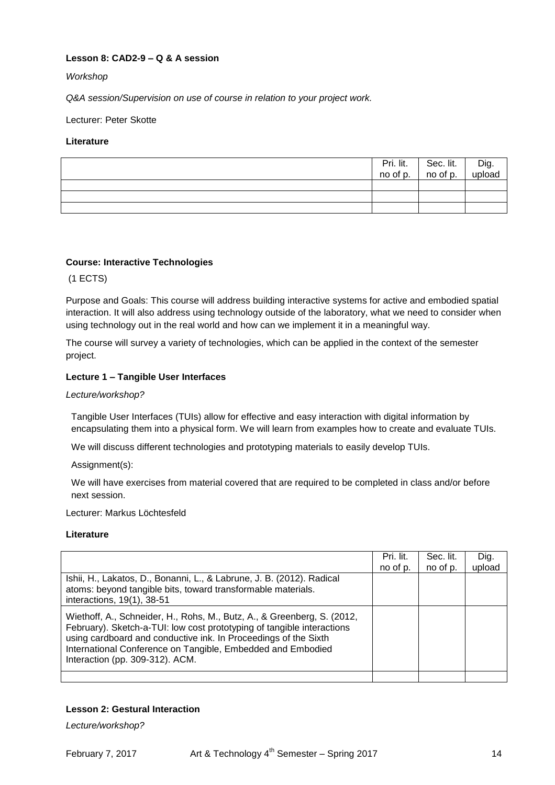## **Lesson 8: CAD2-9 – Q & A session**

## *Workshop*

*Q&A session/Supervision on use of course in relation to your project work.*

Lecturer: Peter Skotte

## **Literature**

|  | $\begin{array}{ c c c c }\n\hline\n\text{Pri. lit.} & \text{Sec. lit.} \\ \text{no of p.} & \text{no of p.} \\ \hline\n\end{array}$ | Dig.<br>upload |
|--|-------------------------------------------------------------------------------------------------------------------------------------|----------------|
|  |                                                                                                                                     |                |
|  |                                                                                                                                     |                |
|  |                                                                                                                                     |                |

## **Course: Interactive Technologies**

(1 ECTS)

Purpose and Goals: This course will address building interactive systems for active and embodied spatial interaction. It will also address using technology outside of the laboratory, what we need to consider when using technology out in the real world and how can we implement it in a meaningful way.

The course will survey a variety of technologies, which can be applied in the context of the semester project.

#### **Lecture 1 – Tangible User Interfaces**

#### *Lecture/workshop?*

Tangible User Interfaces (TUIs) allow for effective and easy interaction with digital information by encapsulating them into a physical form. We will learn from examples how to create and evaluate TUIs.

We will discuss different technologies and prototyping materials to easily develop TUIs.

Assignment(s):

We will have exercises from material covered that are required to be completed in class and/or before next session.

Lecturer: Markus Löchtesfeld

#### **Literature**

|                                                                                                                                                                                                                                                                                                                        | Pri. lit.<br>no of p. | Sec. lit.<br>no of p. | Dig.<br>upload |
|------------------------------------------------------------------------------------------------------------------------------------------------------------------------------------------------------------------------------------------------------------------------------------------------------------------------|-----------------------|-----------------------|----------------|
| Ishii, H., Lakatos, D., Bonanni, L., & Labrune, J. B. (2012). Radical<br>atoms: beyond tangible bits, toward transformable materials.<br>interactions, 19(1), 38-51                                                                                                                                                    |                       |                       |                |
| Wiethoff, A., Schneider, H., Rohs, M., Butz, A., & Greenberg, S. (2012,<br>February). Sketch-a-TUI: low cost prototyping of tangible interactions<br>using cardboard and conductive ink. In Proceedings of the Sixth<br>International Conference on Tangible, Embedded and Embodied<br>Interaction (pp. 309-312). ACM. |                       |                       |                |
|                                                                                                                                                                                                                                                                                                                        |                       |                       |                |

## **Lesson 2: Gestural Interaction**

*Lecture/workshop?*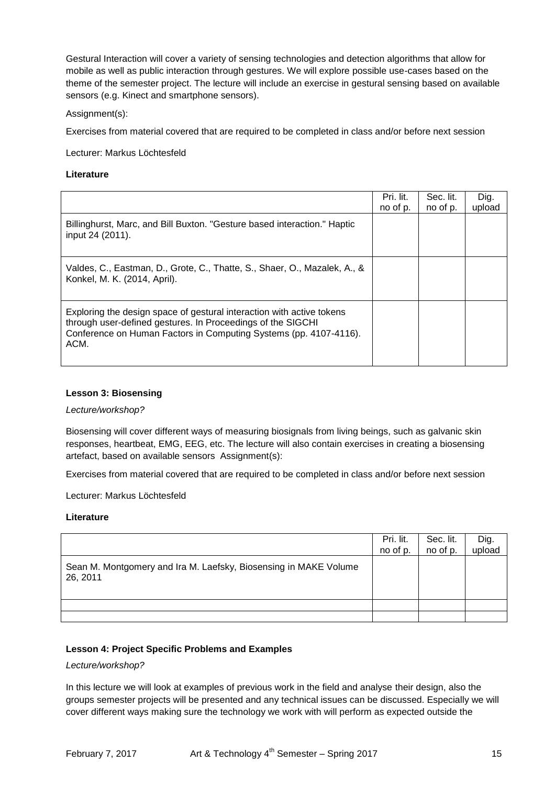Gestural Interaction will cover a variety of sensing technologies and detection algorithms that allow for mobile as well as public interaction through gestures. We will explore possible use-cases based on the theme of the semester project. The lecture will include an exercise in gestural sensing based on available sensors (e.g. Kinect and smartphone sensors).

#### Assignment(s):

Exercises from material covered that are required to be completed in class and/or before next session

Lecturer: Markus Löchtesfeld

#### **Literature**

|                                                                                                                                                                                                                   | Pri. lit.<br>no of p. | Sec. lit.<br>no of p. | Dig.<br>upload |
|-------------------------------------------------------------------------------------------------------------------------------------------------------------------------------------------------------------------|-----------------------|-----------------------|----------------|
| Billinghurst, Marc, and Bill Buxton. "Gesture based interaction." Haptic<br>input 24 (2011).                                                                                                                      |                       |                       |                |
| Valdes, C., Eastman, D., Grote, C., Thatte, S., Shaer, O., Mazalek, A., &<br>Konkel, M. K. (2014, April).                                                                                                         |                       |                       |                |
| Exploring the design space of gestural interaction with active tokens<br>through user-defined gestures. In Proceedings of the SIGCHI<br>Conference on Human Factors in Computing Systems (pp. 4107-4116).<br>ACM. |                       |                       |                |

#### **Lesson 3: Biosensing**

#### *Lecture/workshop?*

Biosensing will cover different ways of measuring biosignals from living beings, such as galvanic skin responses, heartbeat, EMG, EEG, etc. The lecture will also contain exercises in creating a biosensing artefact, based on available sensors Assignment(s):

Exercises from material covered that are required to be completed in class and/or before next session

Lecturer: Markus Löchtesfeld

#### **Literature**

|                                                                              | Pri. lit. | Sec. lit. | Dig.   |
|------------------------------------------------------------------------------|-----------|-----------|--------|
|                                                                              | no of p.  | no of p.  | upload |
| Sean M. Montgomery and Ira M. Laefsky, Biosensing in MAKE Volume<br>26, 2011 |           |           |        |
|                                                                              |           |           |        |
|                                                                              |           |           |        |

#### **Lesson 4: Project Specific Problems and Examples**

#### *Lecture/workshop?*

In this lecture we will look at examples of previous work in the field and analyse their design, also the groups semester projects will be presented and any technical issues can be discussed. Especially we will cover different ways making sure the technology we work with will perform as expected outside the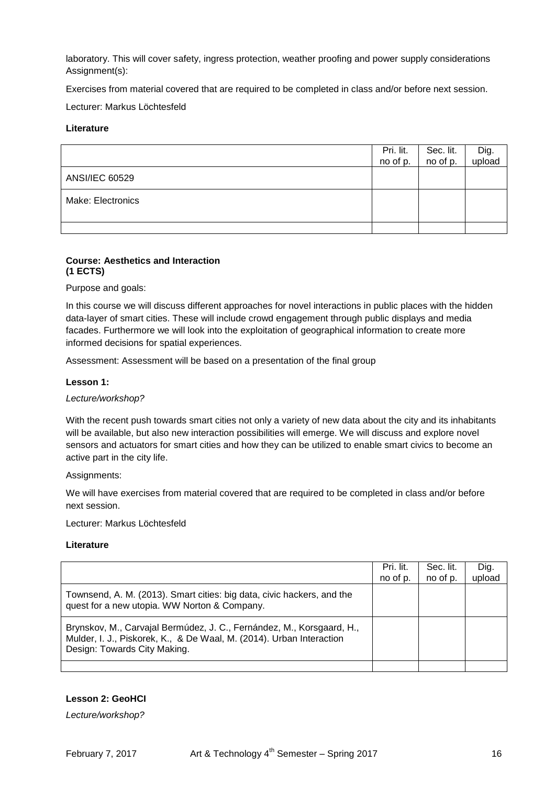laboratory. This will cover safety, ingress protection, weather proofing and power supply considerations Assignment(s):

Exercises from material covered that are required to be completed in class and/or before next session.

Lecturer: Markus Löchtesfeld

## **Literature**

|                   | Pri. lit.<br>no of p. | Sec. lit.<br>no of p. | Dig.<br>upload |
|-------------------|-----------------------|-----------------------|----------------|
| ANSI/IEC 60529    |                       |                       |                |
| Make: Electronics |                       |                       |                |
|                   |                       |                       |                |

## **Course: Aesthetics and Interaction (1 ECTS)**

Purpose and goals:

In this course we will discuss different approaches for novel interactions in public places with the hidden data-layer of smart cities. These will include crowd engagement through public displays and media facades. Furthermore we will look into the exploitation of geographical information to create more informed decisions for spatial experiences.

Assessment: Assessment will be based on a presentation of the final group

#### **Lesson 1:**

#### *Lecture/workshop?*

With the recent push towards smart cities not only a variety of new data about the city and its inhabitants will be available, but also new interaction possibilities will emerge. We will discuss and explore novel sensors and actuators for smart cities and how they can be utilized to enable smart civics to become an active part in the city life.

Assignments:

We will have exercises from material covered that are required to be completed in class and/or before next session.

Lecturer: Markus Löchtesfeld

#### **Literature**

|                                                                                                                                                                               | Pri. lit.<br>no of p. | Sec. lit.<br>no of p. | Dig.<br>upload |
|-------------------------------------------------------------------------------------------------------------------------------------------------------------------------------|-----------------------|-----------------------|----------------|
| Townsend, A. M. (2013). Smart cities: big data, civic hackers, and the<br>quest for a new utopia. WW Norton & Company.                                                        |                       |                       |                |
| Brynskov, M., Carvajal Bermúdez, J. C., Fernández, M., Korsgaard, H.,<br>Mulder, I. J., Piskorek, K., & De Waal, M. (2014). Urban Interaction<br>Design: Towards City Making. |                       |                       |                |
|                                                                                                                                                                               |                       |                       |                |

#### **Lesson 2: GeoHCI**

*Lecture/workshop?*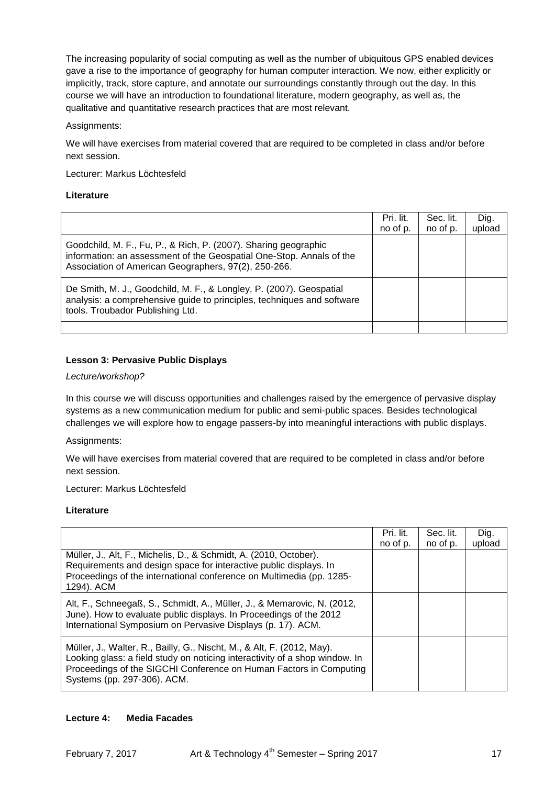The increasing popularity of social computing as well as the number of ubiquitous GPS enabled devices gave a rise to the importance of geography for human computer interaction. We now, either explicitly or implicitly, track, store capture, and annotate our surroundings constantly through out the day. In this course we will have an introduction to foundational literature, modern geography, as well as, the qualitative and quantitative research practices that are most relevant.

## Assignments:

We will have exercises from material covered that are required to be completed in class and/or before next session.

Lecturer: Markus Löchtesfeld

## **Literature**

|                                                                                                                                                                                                 | Pri. lit.<br>no of p. | Sec. lit.<br>no of p. | Dig.<br>upload |
|-------------------------------------------------------------------------------------------------------------------------------------------------------------------------------------------------|-----------------------|-----------------------|----------------|
| Goodchild, M. F., Fu, P., & Rich, P. (2007). Sharing geographic<br>information: an assessment of the Geospatial One-Stop. Annals of the<br>Association of American Geographers, 97(2), 250-266. |                       |                       |                |
| De Smith, M. J., Goodchild, M. F., & Longley, P. (2007). Geospatial<br>analysis: a comprehensive guide to principles, techniques and software<br>tools. Troubador Publishing Ltd.               |                       |                       |                |
|                                                                                                                                                                                                 |                       |                       |                |

## **Lesson 3: Pervasive Public Displays**

#### *Lecture/workshop?*

In this course we will discuss opportunities and challenges raised by the emergence of pervasive display systems as a new communication medium for public and semi-public spaces. Besides technological challenges we will explore how to engage passers-by into meaningful interactions with public displays.

Assignments:

We will have exercises from material covered that are required to be completed in class and/or before next session.

Lecturer: Markus Löchtesfeld

## **Literature**

|                                                                                                                                                                                                                                                            | Pri. lit.<br>no of p. | Sec. lit.<br>no of p. | Dig.<br>upload |
|------------------------------------------------------------------------------------------------------------------------------------------------------------------------------------------------------------------------------------------------------------|-----------------------|-----------------------|----------------|
| Müller, J., Alt, F., Michelis, D., & Schmidt, A. (2010, October).<br>Requirements and design space for interactive public displays. In<br>Proceedings of the international conference on Multimedia (pp. 1285-<br>1294). ACM                               |                       |                       |                |
| Alt, F., Schneegaß, S., Schmidt, A., Müller, J., & Memarovic, N. (2012,<br>June). How to evaluate public displays. In Proceedings of the 2012<br>International Symposium on Pervasive Displays (p. 17). ACM.                                               |                       |                       |                |
| Müller, J., Walter, R., Bailly, G., Nischt, M., & Alt, F. (2012, May).<br>Looking glass: a field study on noticing interactivity of a shop window. In<br>Proceedings of the SIGCHI Conference on Human Factors in Computing<br>Systems (pp. 297-306). ACM. |                       |                       |                |

## **Lecture 4: Media Facades**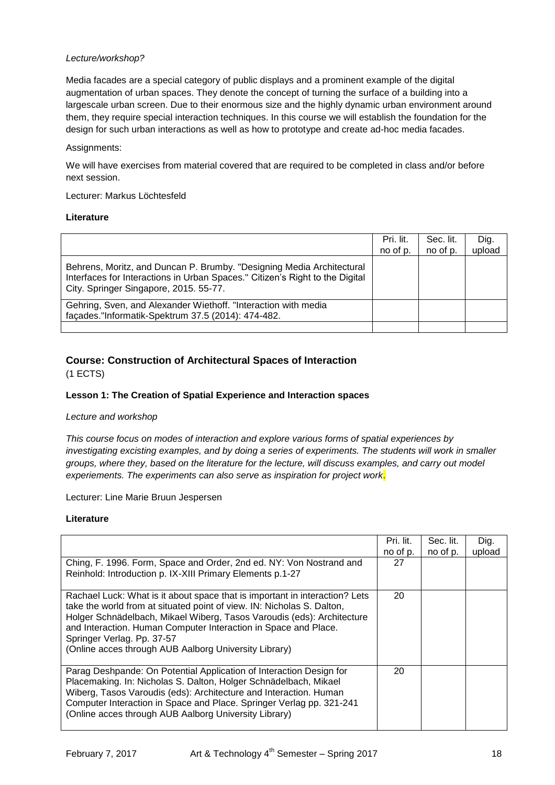## *Lecture/workshop?*

Media facades are a special category of public displays and a prominent example of the digital augmentation of urban spaces. They denote the concept of turning the surface of a building into a largescale urban screen. Due to their enormous size and the highly dynamic urban environment around them, they require special interaction techniques. In this course we will establish the foundation for the design for such urban interactions as well as how to prototype and create ad-hoc media facades.

Assignments:

We will have exercises from material covered that are required to be completed in class and/or before next session.

Lecturer: Markus Löchtesfeld

#### **Literature**

|                                                                                                                                                                                                 | Pri. lit.<br>no of p. | Sec. lit.<br>no of p. | Dig.<br>upload |
|-------------------------------------------------------------------------------------------------------------------------------------------------------------------------------------------------|-----------------------|-----------------------|----------------|
| Behrens, Moritz, and Duncan P. Brumby. "Designing Media Architectural<br>Interfaces for Interactions in Urban Spaces." Citizen's Right to the Digital<br>City. Springer Singapore, 2015. 55-77. |                       |                       |                |
| Gehring, Sven, and Alexander Wiethoff. "Interaction with media<br>façades."Informatik-Spektrum 37.5 (2014): 474-482.                                                                            |                       |                       |                |
|                                                                                                                                                                                                 |                       |                       |                |

# **Course: Construction of Architectural Spaces of Interaction**

(1 ECTS)

## **Lesson 1: The Creation of Spatial Experience and Interaction spaces**

#### *Lecture and workshop*

*This course focus on modes of interaction and explore various forms of spatial experiences by investigating excisting examples, and by doing a series of experiments. The students will work in smaller groups, where they, based on the literature for the lecture, will discuss examples, and carry out model experiements. The experiments can also serve as inspiration for project work.*

Lecturer: Line Marie Bruun Jespersen

|                                                                                                                                                                                                                                                                                                                                                                                           | Pri. lit. | Sec. lit. | Dig.   |
|-------------------------------------------------------------------------------------------------------------------------------------------------------------------------------------------------------------------------------------------------------------------------------------------------------------------------------------------------------------------------------------------|-----------|-----------|--------|
|                                                                                                                                                                                                                                                                                                                                                                                           | no of p.  | no of p.  | upload |
| Ching, F. 1996. Form, Space and Order, 2nd ed. NY: Von Nostrand and<br>Reinhold: Introduction p. IX-XIII Primary Elements p.1-27                                                                                                                                                                                                                                                          | 27        |           |        |
| Rachael Luck: What is it about space that is important in interaction? Lets<br>take the world from at situated point of view. IN: Nicholas S. Dalton,<br>Holger Schnädelbach, Mikael Wiberg, Tasos Varoudis (eds): Architecture<br>and Interaction. Human Computer Interaction in Space and Place.<br>Springer Verlag. Pp. 37-57<br>(Online acces through AUB Aalborg University Library) | 20        |           |        |
| Parag Deshpande: On Potential Application of Interaction Design for<br>Placemaking. In: Nicholas S. Dalton, Holger Schnädelbach, Mikael<br>Wiberg, Tasos Varoudis (eds): Architecture and Interaction. Human<br>Computer Interaction in Space and Place. Springer Verlag pp. 321-241<br>(Online acces through AUB Aalborg University Library)                                             | 20        |           |        |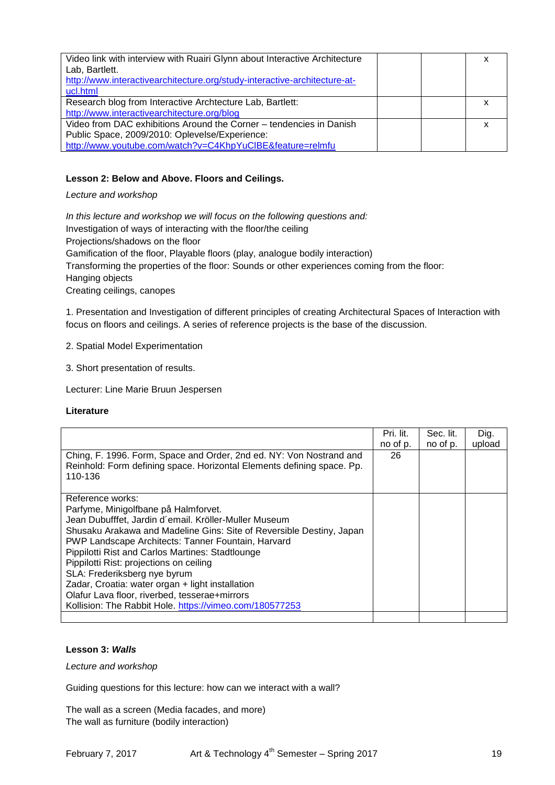| Video link with interview with Ruairi Glynn about Interactive Architecture<br>Lab, Bartlett.<br>http://www.interactivearchitecture.org/study-interactive-architecture-at-<br>ucl.html |  |
|---------------------------------------------------------------------------------------------------------------------------------------------------------------------------------------|--|
| Research blog from Interactive Archtecture Lab, Bartlett:                                                                                                                             |  |
| http://www.interactivearchitecture.org/blog                                                                                                                                           |  |
| Video from DAC exhibitions Around the Corner – tendencies in Danish                                                                                                                   |  |
| Public Space, 2009/2010: Oplevelse/Experience:                                                                                                                                        |  |
| http://www.youtube.com/watch?v=C4KhpYuClBE&feature=relmfu                                                                                                                             |  |

## **Lesson 2: Below and Above. Floors and Ceilings.**

*Lecture and workshop*

*In this lecture and workshop we will focus on the following questions and:*  Investigation of ways of interacting with the floor/the ceiling Projections/shadows on the floor Gamification of the floor, Playable floors (play, analogue bodily interaction) Transforming the properties of the floor: Sounds or other experiences coming from the floor: Hanging objects Creating ceilings, canopes

1. Presentation and Investigation of different principles of creating Architectural Spaces of Interaction with focus on floors and ceilings. A series of reference projects is the base of the discussion.

2. Spatial Model Experimentation

3. Short presentation of results.

Lecturer: Line Marie Bruun Jespersen

#### **Literature**

|                                                                        | Pri. lit. | Sec. lit. | Dig.   |
|------------------------------------------------------------------------|-----------|-----------|--------|
|                                                                        | no of p.  | no of p.  | upload |
| Ching, F. 1996. Form, Space and Order, 2nd ed. NY: Von Nostrand and    | 26        |           |        |
| Reinhold: Form defining space. Horizontal Elements defining space. Pp. |           |           |        |
| 110-136                                                                |           |           |        |
|                                                                        |           |           |        |
| Reference works:                                                       |           |           |        |
| Parfyme, Minigolfbane på Halmforvet.                                   |           |           |        |
| Jean Dubufffet, Jardin d'email. Kröller-Muller Museum                  |           |           |        |
| Shusaku Arakawa and Madeline Gins: Site of Reversible Destiny, Japan   |           |           |        |
| PWP Landscape Architects: Tanner Fountain, Harvard                     |           |           |        |
| Pippilotti Rist and Carlos Martines: Stadtlounge                       |           |           |        |
| Pippilotti Rist: projections on ceiling                                |           |           |        |
| SLA: Frederiksberg nye byrum                                           |           |           |        |
| Zadar, Croatia: water organ + light installation                       |           |           |        |
| Olafur Lava floor, riverbed, tesserae+mirrors                          |           |           |        |
| Kollision: The Rabbit Hole. https://vimeo.com/180577253                |           |           |        |
|                                                                        |           |           |        |

## **Lesson 3:** *Walls*

*Lecture and workshop*

Guiding questions for this lecture: how can we interact with a wall?

The wall as a screen (Media facades, and more) The wall as furniture (bodily interaction)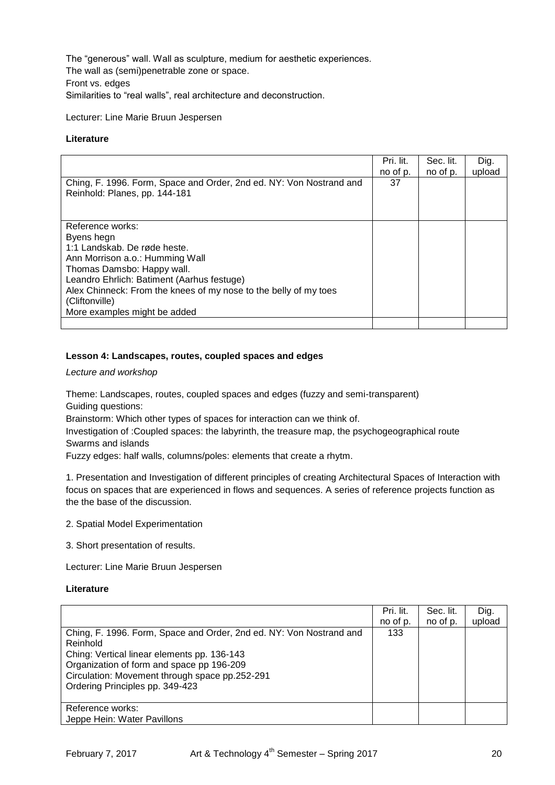The "generous" wall. Wall as sculpture, medium for aesthetic experiences. The wall as (semi)penetrable zone or space. Front vs. edges Similarities to "real walls", real architecture and deconstruction.

Lecturer: Line Marie Bruun Jespersen

#### **Literature**

|                                                                                                      | Pri. lit.<br>no of p. | Sec. lit.<br>no of p. | Dig.<br>upload |
|------------------------------------------------------------------------------------------------------|-----------------------|-----------------------|----------------|
| Ching, F. 1996. Form, Space and Order, 2nd ed. NY: Von Nostrand and<br>Reinhold: Planes, pp. 144-181 | 37                    |                       |                |
|                                                                                                      |                       |                       |                |
| Reference works:                                                                                     |                       |                       |                |
| Byens hegn                                                                                           |                       |                       |                |
| 1:1 Landskab, De røde heste.                                                                         |                       |                       |                |
| Ann Morrison a.o.: Humming Wall                                                                      |                       |                       |                |
| Thomas Damsbo: Happy wall.                                                                           |                       |                       |                |
| Leandro Ehrlich: Batiment (Aarhus festuge)                                                           |                       |                       |                |
| Alex Chinneck: From the knees of my nose to the belly of my toes                                     |                       |                       |                |
| (Cliftonville)                                                                                       |                       |                       |                |
| More examples might be added                                                                         |                       |                       |                |
|                                                                                                      |                       |                       |                |

#### **Lesson 4: Landscapes, routes, coupled spaces and edges**

*Lecture and workshop*

Theme: Landscapes, routes, coupled spaces and edges (fuzzy and semi-transparent) Guiding questions:

Brainstorm: Which other types of spaces for interaction can we think of.

Investigation of :Coupled spaces: the labyrinth, the treasure map, the psychogeographical route Swarms and islands

Fuzzy edges: half walls, columns/poles: elements that create a rhytm.

1. Presentation and Investigation of different principles of creating Architectural Spaces of Interaction with focus on spaces that are experienced in flows and sequences. A series of reference projects function as the the base of the discussion.

2. Spatial Model Experimentation

3. Short presentation of results.

Lecturer: Line Marie Bruun Jespersen

|                                                                                                                                                                                                                                                                  | Pri. lit.<br>no of p. | Sec. lit.<br>no of p. | Dig.<br>upload |
|------------------------------------------------------------------------------------------------------------------------------------------------------------------------------------------------------------------------------------------------------------------|-----------------------|-----------------------|----------------|
| Ching, F. 1996. Form, Space and Order, 2nd ed. NY: Von Nostrand and<br>Reinhold<br>Ching: Vertical linear elements pp. 136-143<br>Organization of form and space pp 196-209<br>Circulation: Movement through space pp.252-291<br>Ordering Principles pp. 349-423 | 133                   |                       |                |
| Reference works:<br>Jeppe Hein: Water Pavillons                                                                                                                                                                                                                  |                       |                       |                |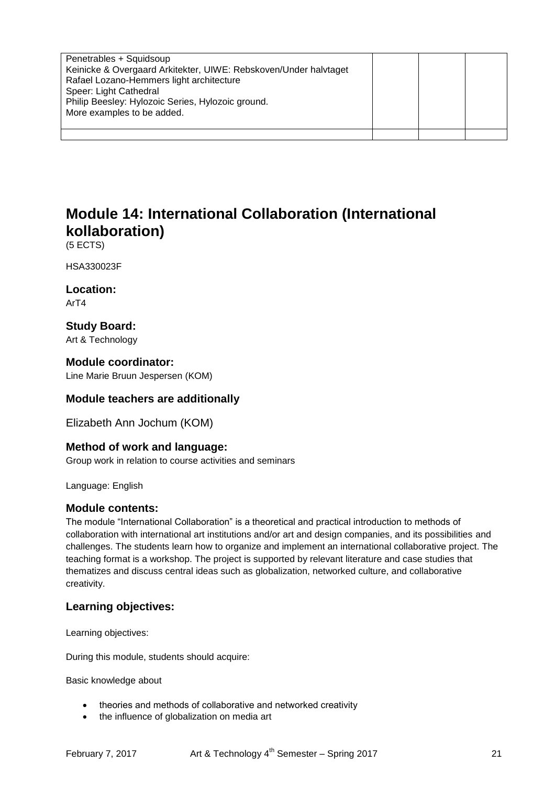| Penetrables + Squidsoup<br>Keinicke & Overgaard Arkitekter, UIWE: Rebskoven/Under halvtaget<br>Rafael Lozano-Hemmers light architecture<br>Speer: Light Cathedral<br>Philip Beesley: Hylozoic Series, Hylozoic ground. |  |  |
|------------------------------------------------------------------------------------------------------------------------------------------------------------------------------------------------------------------------|--|--|
| More examples to be added.                                                                                                                                                                                             |  |  |
|                                                                                                                                                                                                                        |  |  |

# **Module 14: International Collaboration (International kollaboration)**

(5 ECTS)

HSA330023F

**Location:** ArT4

**Study Board:** Art & Technology

## **Module coordinator:**

Line Marie Bruun Jespersen (KOM)

## **Module teachers are additionally**

Elizabeth Ann Jochum (KOM)

## **Method of work and language:**

Group work in relation to course activities and seminars

Language: English

## **Module contents:**

The module "International Collaboration" is a theoretical and practical introduction to methods of collaboration with international art institutions and/or art and design companies, and its possibilities and challenges. The students learn how to organize and implement an international collaborative project. The teaching format is a workshop. The project is supported by relevant literature and case studies that thematizes and discuss central ideas such as globalization, networked culture, and collaborative creativity.

# **Learning objectives:**

Learning objectives:

During this module, students should acquire:

Basic knowledge about

- theories and methods of collaborative and networked creativity
- the influence of globalization on media art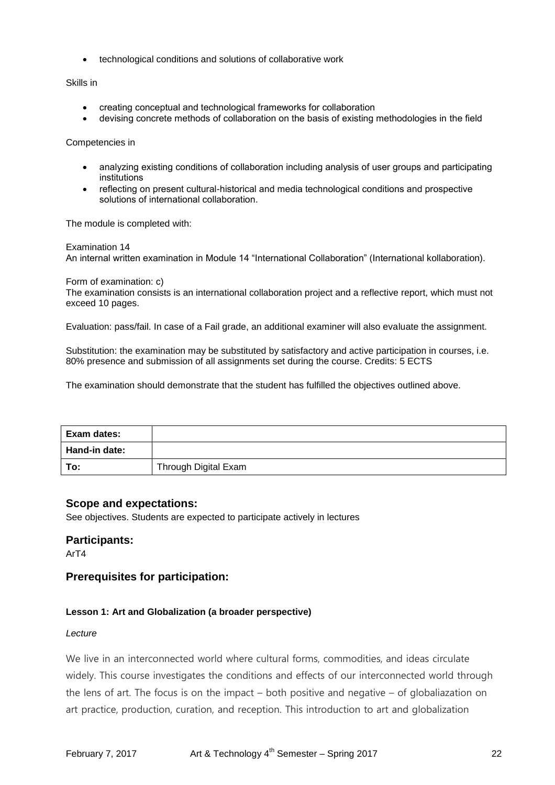technological conditions and solutions of collaborative work

Skills in

- creating conceptual and technological frameworks for collaboration
- devising concrete methods of collaboration on the basis of existing methodologies in the field

Competencies in

- analyzing existing conditions of collaboration including analysis of user groups and participating institutions
- reflecting on present cultural-historical and media technological conditions and prospective solutions of international collaboration.

The module is completed with:

Examination 14

An internal written examination in Module 14 "International Collaboration" (International kollaboration).

Form of examination: c)

The examination consists is an international collaboration project and a reflective report, which must not exceed 10 pages.

Evaluation: pass/fail. In case of a Fail grade, an additional examiner will also evaluate the assignment.

Substitution: the examination may be substituted by satisfactory and active participation in courses, i.e. 80% presence and submission of all assignments set during the course. Credits: 5 ECTS

The examination should demonstrate that the student has fulfilled the objectives outlined above.

| Exam dates:   |                      |
|---------------|----------------------|
| Hand-in date: |                      |
| To:           | Through Digital Exam |

## **Scope and expectations:**

See objectives. Students are expected to participate actively in lectures

#### **Participants:**

ArT4

# **Prerequisites for participation:**

#### **Lesson 1: Art and Globalization (a broader perspective)**

#### *Lecture*

We live in an interconnected world where cultural forms, commodities, and ideas circulate widely. This course investigates the conditions and effects of our interconnected world through the lens of art. The focus is on the impact – both positive and negative – of globaliazation on art practice, production, curation, and reception. This introduction to art and globalization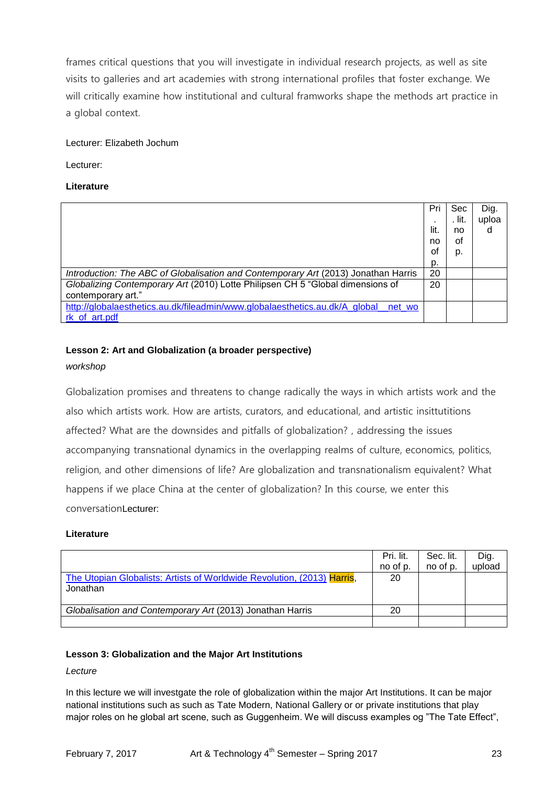frames critical questions that you will investigate in individual research projects, as well as site visits to galleries and art academies with strong international profiles that foster exchange. We will critically examine how institutional and cultural framworks shape the methods art practice in a global context.

## Lecturer: Elizabeth Jochum

Lecturer:

## **Literature**

|                                                                                    | Pri  | Sec    | Dig.  |
|------------------------------------------------------------------------------------|------|--------|-------|
|                                                                                    |      | . lit. | uploa |
|                                                                                    | lit. | no     | d     |
|                                                                                    | no   | οf     |       |
|                                                                                    | οf   | p.     |       |
|                                                                                    | p.   |        |       |
| Introduction: The ABC of Globalisation and Contemporary Art (2013) Jonathan Harris | 20   |        |       |
| Globalizing Contemporary Art (2010) Lotte Philipsen CH 5 "Global dimensions of     | 20   |        |       |
| contemporary art."                                                                 |      |        |       |
| http://globalaesthetics.au.dk/fileadmin/www.globalaesthetics.au.dk/A global net wo |      |        |       |
| rk of art.pdf                                                                      |      |        |       |

# **Lesson 2: Art and Globalization (a broader perspective)**

#### *workshop*

Globalization promises and threatens to change radically the ways in which artists work and the also which artists work. How are artists, curators, and educational, and artistic insittutitions affected? What are the downsides and pitfalls of globalization? , addressing the issues accompanying transnational dynamics in the overlapping realms of culture, economics, politics, religion, and other dimensions of life? Are globalization and transnationalism equivalent? What happens if we place China at the center of globalization? In this course, we enter this conversationLecturer:

#### **Literature**

|                                                                         | Pri. lit.<br>no of p. | Sec. lit.<br>no of p. | Dig.<br>upload |
|-------------------------------------------------------------------------|-----------------------|-----------------------|----------------|
| The Utopian Globalists: Artists of Worldwide Revolution, (2013) Harris, | 20                    |                       |                |
| Jonathan                                                                |                       |                       |                |
| Globalisation and Contemporary Art (2013) Jonathan Harris               | 20                    |                       |                |
|                                                                         |                       |                       |                |

## **Lesson 3: Globalization and the Major Art Institutions**

## *Lecture*

In this lecture we will investgate the role of globalization within the major Art Institutions. It can be major national institutions such as such as Tate Modern, National Gallery or or private institutions that play major roles on he global art scene, such as Guggenheim. We will discuss examples og "The Tate Effect",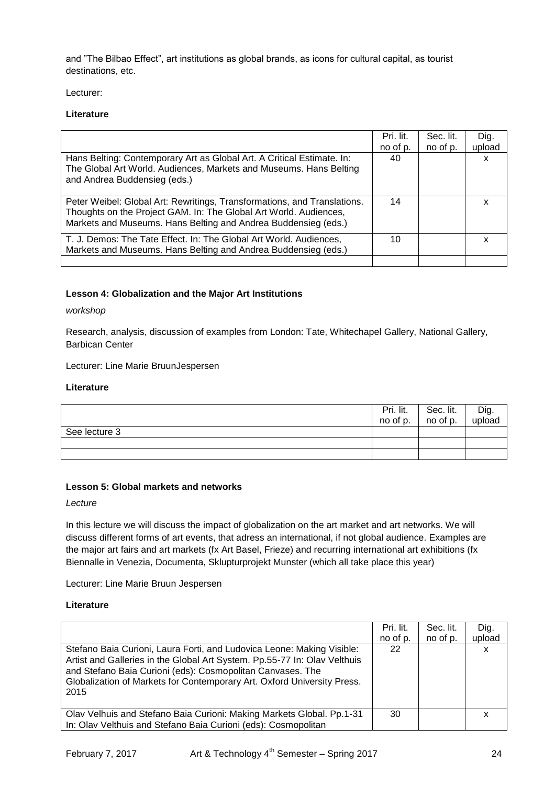and "The Bilbao Effect", art institutions as global brands, as icons for cultural capital, as tourist destinations, etc.

Lecturer:

## **Literature**

|                                                                                                                                                                                                                 | Pri. lit. | Sec. lit. | Dig.   |
|-----------------------------------------------------------------------------------------------------------------------------------------------------------------------------------------------------------------|-----------|-----------|--------|
|                                                                                                                                                                                                                 | no of p.  | no of p.  | upload |
| Hans Belting: Contemporary Art as Global Art. A Critical Estimate. In:<br>The Global Art World. Audiences, Markets and Museums. Hans Belting<br>and Andrea Buddensieg (eds.)                                    | 40        |           | x      |
| Peter Weibel: Global Art: Rewritings, Transformations, and Translations.<br>Thoughts on the Project GAM. In: The Global Art World. Audiences,<br>Markets and Museums. Hans Belting and Andrea Buddensieg (eds.) | 14        |           | x      |
| T. J. Demos: The Tate Effect. In: The Global Art World. Audiences,<br>Markets and Museums. Hans Belting and Andrea Buddensieg (eds.)                                                                            | 10        |           | x      |
|                                                                                                                                                                                                                 |           |           |        |

## **Lesson 4: Globalization and the Major Art Institutions**

*workshop*

Research, analysis, discussion of examples from London: Tate, Whitechapel Gallery, National Gallery, Barbican Center

Lecturer: Line Marie BruunJespersen

#### **Literature**

|               | Pri. lit. | Sec. lit. | Dig.   |
|---------------|-----------|-----------|--------|
|               | no of p.  | no of p.  | upload |
| See lecture 3 |           |           |        |
|               |           |           |        |
|               |           |           |        |

## **Lesson 5: Global markets and networks**

*Lecture*

In this lecture we will discuss the impact of globalization on the art market and art networks. We will discuss different forms of art events, that adress an international, if not global audience. Examples are the major art fairs and art markets (fx Art Basel, Frieze) and recurring international art exhibitions (fx Biennalle in Venezia, Documenta, Sklupturprojekt Munster (which all take place this year)

Lecturer: Line Marie Bruun Jespersen

| Stefano Baia Curioni, Laura Forti, and Ludovica Leone: Making Visible:<br>Artist and Galleries in the Global Art System. Pp.55-77 In: Olav Velthuis<br>and Stefano Baia Curioni (eds): Cosmopolitan Canvases. The<br>Globalization of Markets for Contemporary Art. Oxford University Press.<br>2015 | Pri. lit.<br>no of p.<br>22 | Sec. lit.<br>no of p. | Dig.<br>upload<br>х |
|------------------------------------------------------------------------------------------------------------------------------------------------------------------------------------------------------------------------------------------------------------------------------------------------------|-----------------------------|-----------------------|---------------------|
| Olav Velhuis and Stefano Baia Curioni: Making Markets Global. Pp.1-31<br>In: Olav Velthuis and Stefano Baia Curioni (eds): Cosmopolitan                                                                                                                                                              | 30                          |                       | x                   |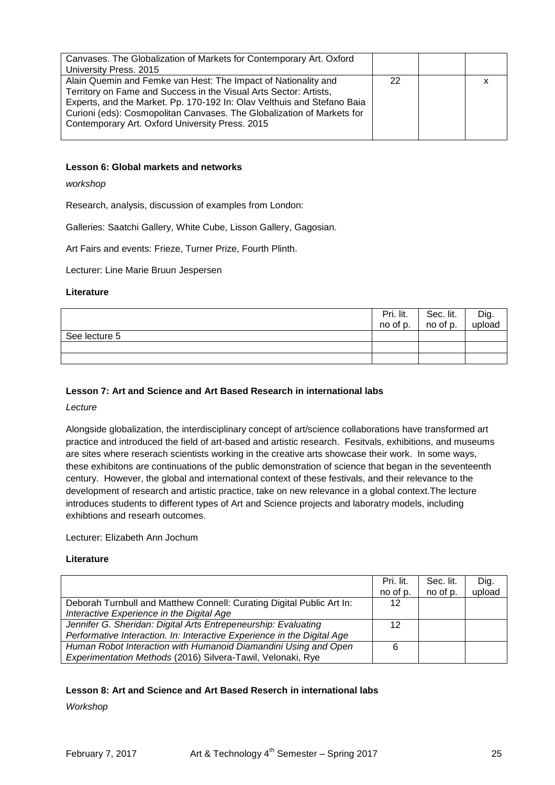| Canvases. The Globalization of Markets for Contemporary Art. Oxford     |    |  |
|-------------------------------------------------------------------------|----|--|
| University Press. 2015                                                  |    |  |
| Alain Quemin and Femke van Hest: The Impact of Nationality and          | 22 |  |
| Territory on Fame and Success in the Visual Arts Sector: Artists,       |    |  |
| Experts, and the Market. Pp. 170-192 In: Olav Velthuis and Stefano Baia |    |  |
| Curioni (eds): Cosmopolitan Canvases. The Globalization of Markets for  |    |  |
| Contemporary Art. Oxford University Press. 2015                         |    |  |
|                                                                         |    |  |

#### **Lesson 6: Global markets and networks**

*workshop*

Research, analysis, discussion of examples from London:

Galleries: Saatchi Gallery, White Cube, Lisson Gallery, Gagosian.

Art Fairs and events: Frieze, Turner Prize, Fourth Plinth.

Lecturer: Line Marie Bruun Jespersen

#### **Literature**

|               | Pri. lit.<br>no of p. | Sec. lit.<br>no of p. | <sup>I</sup> Dig.<br>upload |
|---------------|-----------------------|-----------------------|-----------------------------|
| See lecture 5 |                       |                       |                             |
|               |                       |                       |                             |
|               |                       |                       |                             |

### **Lesson 7: Art and Science and Art Based Research in international labs**

*Lecture*

Alongside globalization, the interdisciplinary concept of art/science collaborations have transformed art practice and introduced the field of art-based and artistic research. Fesitvals, exhibitions, and museums are sites where reserach scientists working in the creative arts showcase their work. In some ways, these exhibitons are continuations of the public demonstration of science that began in the seventeenth century. However, the global and international context of these festivals, and their relevance to the development of research and artistic practice, take on new relevance in a global context.The lecture introduces students to different types of Art and Science projects and laboratry models, including exhibtions and researh outcomes.

Lecturer: Elizabeth Ann Jochum

#### **Literature**

|                                                                         | Pri. lit. | Sec. lit. | Dig.   |
|-------------------------------------------------------------------------|-----------|-----------|--------|
|                                                                         | no of p.  | no of p.  | upload |
| Deborah Turnbull and Matthew Connell: Curating Digital Public Art In:   | 12        |           |        |
| Interactive Experience in the Digital Age                               |           |           |        |
| Jennifer G. Sheridan: Digital Arts Entrepeneurship: Evaluating          | 12        |           |        |
| Performative Interaction. In: Interactive Experience in the Digital Age |           |           |        |
| Human Robot Interaction with Humanoid Diamandini Using and Open         | 6         |           |        |
| Experimentation Methods (2016) Silvera-Tawil, Velonaki, Rye             |           |           |        |

## **Lesson 8: Art and Science and Art Based Reserch in international labs**

*Workshop*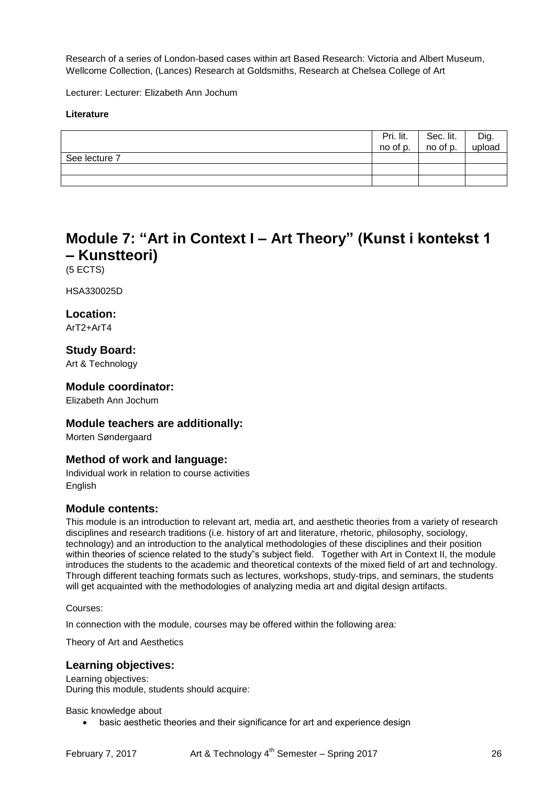Research of a series of London-based cases within art Based Research: Victoria and Albert Museum, Wellcome Collection, (Lances) Research at Goldsmiths, Research at Chelsea College of Art

Lecturer: Lecturer: Elizabeth Ann Jochum

## **Literature**

|               | Pri. lit.<br>no of p. | Sec. lit.<br>no of p. | Dig.<br>upload |
|---------------|-----------------------|-----------------------|----------------|
| See lecture 7 |                       |                       |                |
|               |                       |                       |                |
|               |                       |                       |                |

# **Module 7: "Art in Context I – Art Theory" (Kunst i kontekst 1 – Kunstteori)**

(5 ECTS)

HSA330025D

## **Location:**

ArT2+ArT4

## **Study Board:**

Art & Technology

## **Module coordinator:**

Elizabeth Ann Jochum

## **Module teachers are additionally:**

Morten Søndergaard

## **Method of work and language:**

Individual work in relation to course activities **English** 

## **Module contents:**

This module is an introduction to relevant art, media art, and aesthetic theories from a variety of research disciplines and research traditions (i.e. history of art and literature, rhetoric, philosophy, sociology, technology) and an introduction to the analytical methodologies of these disciplines and their position within theories of science related to the study"s subject field. Together with Art in Context II, the module introduces the students to the academic and theoretical contexts of the mixed field of art and technology. Through different teaching formats such as lectures, workshops, study-trips, and seminars, the students will get acquainted with the methodologies of analyzing media art and digital design artifacts.

#### Courses:

In connection with the module, courses may be offered within the following area:

Theory of Art and Aesthetics

## **Learning objectives:**

Learning objectives: During this module, students should acquire:

Basic knowledge about

basic aesthetic theories and their significance for art and experience design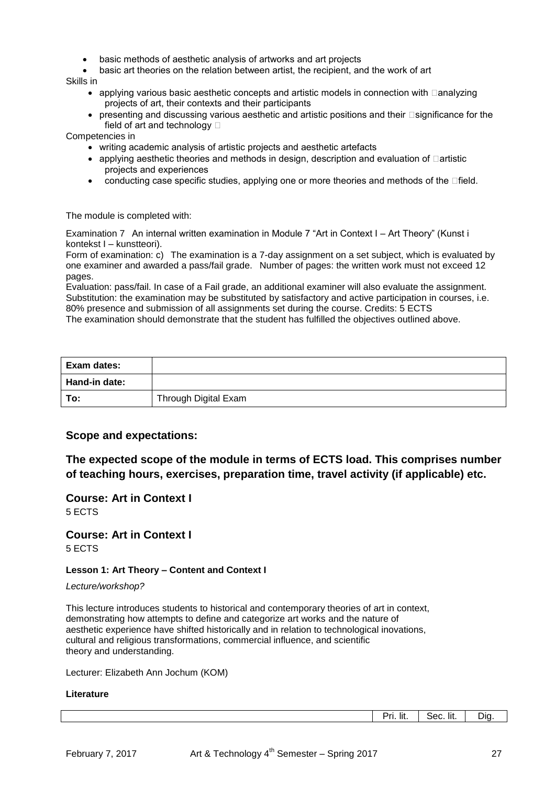- basic methods of aesthetic analysis of artworks and art projects
- basic art theories on the relation between artist, the recipient, and the work of art

Skills in

- $\bullet$  applying various basic aesthetic concepts and artistic models in connection with  $\Box$ analyzing projects of art, their contexts and their participants
- $\bullet$  presenting and discussing various aesthetic and artistic positions and their  $\Box$ significance for the field of art and technology  $\Box$

Competencies in

- writing academic analysis of artistic projects and aesthetic artefacts
- $\bullet$  applying aesthetic theories and methods in design, description and evaluation of  $\Box$ artistic projects and experiences
- conducting case specific studies, applying one or more theories and methods of the  $\Box$  field.

The module is completed with:

Examination 7 An internal written examination in Module 7 "Art in Context I – Art Theory" (Kunst i kontekst I – kunstteori).

Form of examination: c) The examination is a 7-day assignment on a set subject, which is evaluated by one examiner and awarded a pass/fail grade. Number of pages: the written work must not exceed 12 pages.

Evaluation: pass/fail. In case of a Fail grade, an additional examiner will also evaluate the assignment. Substitution: the examination may be substituted by satisfactory and active participation in courses, i.e. 80% presence and submission of all assignments set during the course. Credits: 5 ECTS

The examination should demonstrate that the student has fulfilled the objectives outlined above.

| Exam dates:   |                      |
|---------------|----------------------|
| Hand-in date: |                      |
| To:           | Through Digital Exam |

## **Scope and expectations:**

**The expected scope of the module in terms of ECTS load. This comprises number of teaching hours, exercises, preparation time, travel activity (if applicable) etc.**

**Course: Art in Context I** 5 ECTS

**Course: Art in Context I** 5 ECTS

#### **Lesson 1: Art Theory – Content and Context I**

*Lecture/workshop?*

This lecture introduces students to historical and contemporary theories of art in context, demonstrating how attempts to define and categorize art works and the nature of aesthetic experience have shifted historically and in relation to technological inovations, cultural and religious transformations, commercial influence, and scientific theory and understanding.

Lecturer: Elizabeth Ann Jochum (KOM)

#### **Literature**

Pri. lit. | Sec. lit. | Dig.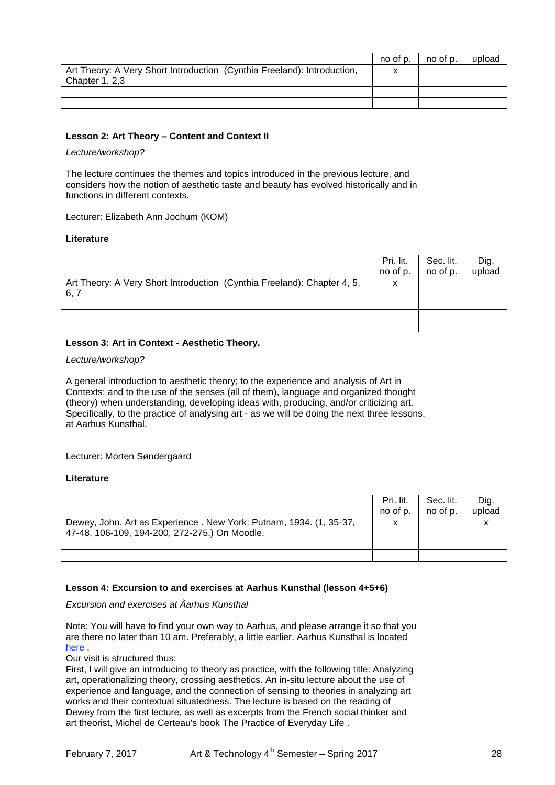|                                                                         | no of p. | no of p. | upload |
|-------------------------------------------------------------------------|----------|----------|--------|
| Art Theory: A Very Short Introduction (Cynthia Freeland): Introduction, | x        |          |        |
| Chapter 1, 2,3                                                          |          |          |        |
|                                                                         |          |          |        |
|                                                                         |          |          |        |

#### **Lesson 2: Art Theory – Content and Context II**

#### *Lecture/workshop?*

The lecture continues the themes and topics introduced in the previous lecture, and considers how the notion of aesthetic taste and beauty has evolved historically and in functions in different contexts.

Lecturer: Elizabeth Ann Jochum (KOM)

#### **Literature**

|                                                                         | Pri. lit. | Sec. lit. | Dig.   |
|-------------------------------------------------------------------------|-----------|-----------|--------|
|                                                                         | no of p.  | no of p.  | upload |
| Art Theory: A Very Short Introduction (Cynthia Freeland): Chapter 4, 5, | х         |           |        |
| 6, 7                                                                    |           |           |        |
|                                                                         |           |           |        |
|                                                                         |           |           |        |
|                                                                         |           |           |        |

## **Lesson 3: Art in Context - Aesthetic Theory.**

*Lecture/workshop?*

A general introduction to aesthetic theory; to the experience and analysis of Art in Contexts; and to the use of the senses (all of them), language and organized thought (theory) when understanding, developing ideas with, producing, and/or criticizing art. Specifically, to the practice of analysing art - as we will be doing the next three lessons, at Aarhus Kunsthal.

#### Lecturer: Morten Søndergaard

#### **Literature**

|                                                                                                                     | Pri. lit.<br>no of p. | Sec. lit.<br>no of p. | Dig.<br>upload |
|---------------------------------------------------------------------------------------------------------------------|-----------------------|-----------------------|----------------|
| Dewey, John. Art as Experience. New York: Putnam, 1934. (1, 35-37,<br>47-48, 106-109, 194-200, 272-275.) On Moodle. | x                     |                       |                |
|                                                                                                                     |                       |                       |                |
|                                                                                                                     |                       |                       |                |

## **Lesson 4: Excursion to and exercises at Aarhus Kunsthal (lesson 4+5+6)**

*Excursion and exercises at Åarhus Kunsthal*

Note: You will have to find your own way to Aarhus, and please arrange it so that you are there no later than 10 am. Preferably, a little earlier. Aarhus Kunsthal is located here .

Our visit is structured thus:

First, I will give an introducing to theory as practice, with the following title: Analyzing art, operationalizing theory, crossing aesthetics. An in-situ lecture about the use of experience and language, and the connection of sensing to theories in analyzing art works and their contextual situatedness. The lecture is based on the reading of Dewey from the first lecture, as well as excerpts from the French social thinker and art theorist, Michel de Certeau's book The Practice of Everyday Life .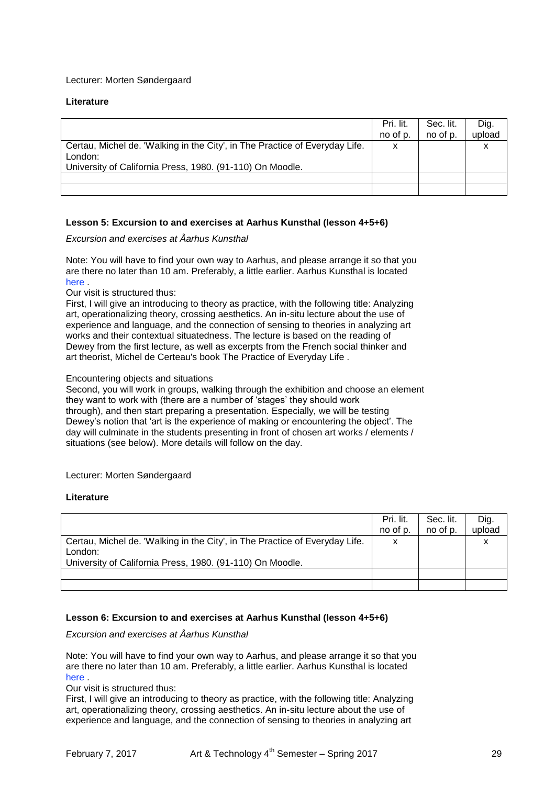#### Lecturer: Morten Søndergaard

#### **Literature**

|                                                                             | Pri. lit. | Sec. lit. | Dig.   |
|-----------------------------------------------------------------------------|-----------|-----------|--------|
|                                                                             | no of p.  | no of p.  | upload |
| Certau, Michel de. 'Walking in the City', in The Practice of Everyday Life. | x         |           |        |
| London:                                                                     |           |           |        |
| University of California Press, 1980. (91-110) On Moodle.                   |           |           |        |
|                                                                             |           |           |        |
|                                                                             |           |           |        |

#### **Lesson 5: Excursion to and exercises at Aarhus Kunsthal (lesson 4+5+6)**

#### *Excursion and exercises at Åarhus Kunsthal*

Note: You will have to find your own way to Aarhus, and please arrange it so that you are there no later than 10 am. Preferably, a little earlier. Aarhus Kunsthal is located here .

#### Our visit is structured thus:

First, I will give an introducing to theory as practice, with the following title: Analyzing art, operationalizing theory, crossing aesthetics. An in-situ lecture about the use of experience and language, and the connection of sensing to theories in analyzing art works and their contextual situatedness. The lecture is based on the reading of Dewey from the first lecture, as well as excerpts from the French social thinker and art theorist, Michel de Certeau's book The Practice of Everyday Life .

## Encountering objects and situations

Second, you will work in groups, walking through the exhibition and choose an element they want to work with (there are a number of 'stages' they should work through), and then start preparing a presentation. Especially, we will be testing Dewey's notion that 'art is the experience of making or encountering the object'. The day will culminate in the students presenting in front of chosen art works / elements / situations (see below). More details will follow on the day.

#### Lecturer: Morten Søndergaard

#### **Literature**

|                                                                             | Pri. lit. | Sec. lit. | Dig.   |
|-----------------------------------------------------------------------------|-----------|-----------|--------|
|                                                                             | no of p.  | no of p.  | upload |
| Certau, Michel de. 'Walking in the City', in The Practice of Everyday Life. | x         |           |        |
| London:                                                                     |           |           |        |
| University of California Press, 1980. (91-110) On Moodle.                   |           |           |        |
|                                                                             |           |           |        |
|                                                                             |           |           |        |

## **Lesson 6: Excursion to and exercises at Aarhus Kunsthal (lesson 4+5+6)**

#### *Excursion and exercises at Åarhus Kunsthal*

Note: You will have to find your own way to Aarhus, and please arrange it so that you are there no later than 10 am. Preferably, a little earlier. Aarhus Kunsthal is located here .

Our visit is structured thus:

First, I will give an introducing to theory as practice, with the following title: Analyzing art, operationalizing theory, crossing aesthetics. An in-situ lecture about the use of experience and language, and the connection of sensing to theories in analyzing art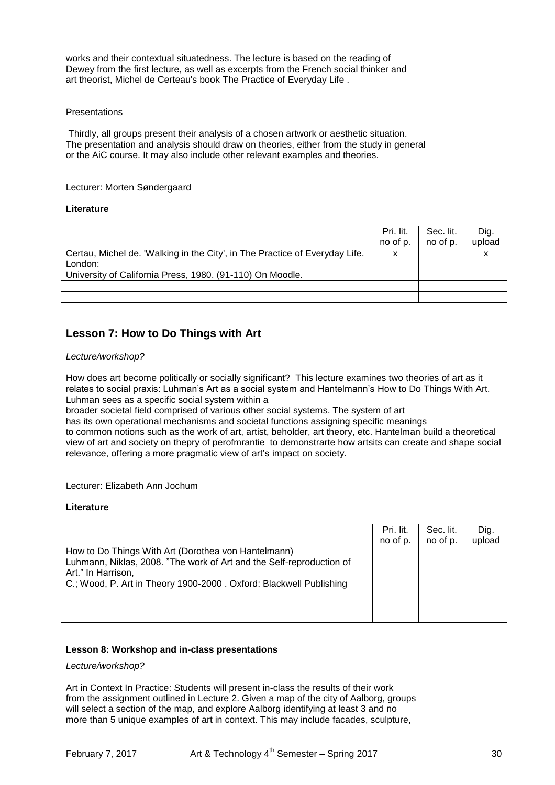works and their contextual situatedness. The lecture is based on the reading of Dewey from the first lecture, as well as excerpts from the French social thinker and art theorist, Michel de Certeau's book The Practice of Everyday Life .

#### **Presentations**

Thirdly, all groups present their analysis of a chosen artwork or aesthetic situation. The presentation and analysis should draw on theories, either from the study in general or the AiC course. It may also include other relevant examples and theories.

#### Lecturer: Morten Søndergaard

#### **Literature**

|                                                                             | Pri. lit. | Sec. lit. | Dig.   |
|-----------------------------------------------------------------------------|-----------|-----------|--------|
|                                                                             | no of p.  | no of p.  | upload |
| Certau, Michel de. 'Walking in the City', in The Practice of Everyday Life. | X         |           |        |
| London:                                                                     |           |           |        |
| University of California Press, 1980. (91-110) On Moodle.                   |           |           |        |
|                                                                             |           |           |        |
|                                                                             |           |           |        |

# **Lesson 7: How to Do Things with Art**

#### *Lecture/workshop?*

How does art become politically or socially significant? This lecture examines two theories of art as it relates to social praxis: Luhman's Art as a social system and Hantelmann's How to Do Things With Art. Luhman sees as a specific social system within a

broader societal field comprised of various other social systems. The system of art

has its own operational mechanisms and societal functions assigning specific meanings

to common notions such as the work of art, artist, beholder, art theory, etc. Hantelman build a theoretical view of art and society on thepry of perofmrantie to demonstrarte how artsits can create and shape social relevance, offering a more pragmatic view of art's impact on society.

Lecturer: Elizabeth Ann Jochum

#### **Literature**

|                                                                                                                                                                                                                         | Pri. lit.<br>no of p. | Sec. lit.<br>no of p. | Dig.<br>upload |
|-------------------------------------------------------------------------------------------------------------------------------------------------------------------------------------------------------------------------|-----------------------|-----------------------|----------------|
| How to Do Things With Art (Dorothea von Hantelmann)<br>Luhmann, Niklas, 2008. "The work of Art and the Self-reproduction of<br>Art." In Harrison,<br>C.; Wood, P. Art in Theory 1900-2000. Oxford: Blackwell Publishing |                       |                       |                |
|                                                                                                                                                                                                                         |                       |                       |                |
|                                                                                                                                                                                                                         |                       |                       |                |

## **Lesson 8: Workshop and in-class presentations**

#### *Lecture/workshop?*

Art in Context In Practice: Students will present in-class the results of their work from the assignment outlined in Lecture 2. Given a map of the city of Aalborg, groups will select a section of the map, and explore Aalborg identifying at least 3 and no more than 5 unique examples of art in context. This may include facades, sculpture,